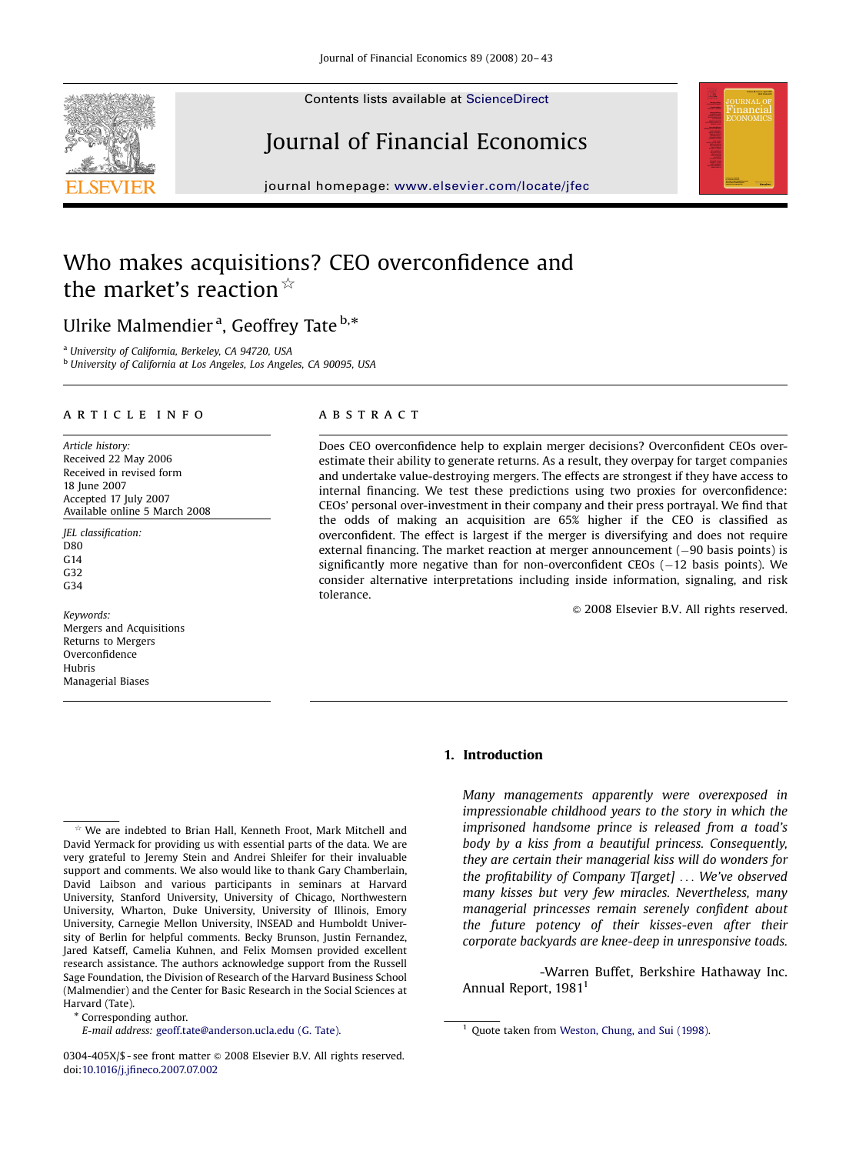Contents lists available at [ScienceDirect](www.elsevier.com/locate/jfec)





# Journal of Financial Economics

journal homepage: <www.elsevier.com/locate/jfec>

# Who makes acquisitions? CEO overconfidence and the market's reaction  $\mathbb{R}$

# Ulrike Malmendier<sup>a</sup>, Geoffrey Tate <sup>b,\*</sup>

<sup>a</sup> University of California, Berkeley, CA 94720, USA <sup>b</sup> University of California at Los Angeles, Los Angeles, CA 90095, USA

## article info

Article history: Received 22 May 2006 Received in revised form 18 June 2007 Accepted 17 July 2007 Available online 5 March 2008

JEL classification: D80  $G<sub>14</sub>$ G32  $C34$ 

Keywords: Mergers and Acquisitions Returns to Mergers Overconfidence Hubris Managerial Biases

# **ABSTRACT**

Does CEO overconfidence help to explain merger decisions? Overconfident CEOs overestimate their ability to generate returns. As a result, they overpay for target companies and undertake value-destroying mergers. The effects are strongest if they have access to internal financing. We test these predictions using two proxies for overconfidence: CEOs' personal over-investment in their company and their press portrayal. We find that the odds of making an acquisition are 65% higher if the CEO is classified as overconfident. The effect is largest if the merger is diversifying and does not require external financing. The market reaction at merger announcement  $(-90$  basis points) is significantly more negative than for non-overconfident CEOs  $(-12)$  basis points). We consider alternative interpretations including inside information, signaling, and risk tolerance.

 $\odot$  2008 Elsevier B.V. All rights reserved.

# 1. Introduction

We are indebted to Brian Hall, Kenneth Froot, Mark Mitchell and David Yermack for providing us with essential parts of the data. We are very grateful to Jeremy Stein and Andrei Shleifer for their invaluable support and comments. We also would like to thank Gary Chamberlain, David Laibson and various participants in seminars at Harvard University, Stanford University, University of Chicago, Northwestern University, Wharton, Duke University, University of Illinois, Emory University, Carnegie Mellon University, INSEAD and Humboldt University of Berlin for helpful comments. Becky Brunson, Justin Fernandez, Jared Katseff, Camelia Kuhnen, and Felix Momsen provided excellent research assistance. The authors acknowledge support from the Russell Sage Foundation, the Division of Research of the Harvard Business School (Malmendier) and the Center for Basic Research in the Social Sciences at Harvard (Tate).

Corresponding author.

E-mail address: [geoff.tate@anderson.ucla.edu \(G. Tate\).](mailto:geoff.tate@anderson.ucla.edu) 1 Quote taken from [Weston, Chung, and Sui \(1998\).](#page-23-0)

0304-405X/\$ - see front matter  $\odot$  2008 Elsevier B.V. All rights reserved. doi:[10.1016/j.jfineco.2007.07.002](dx.doi.org/10.1016/j.jfineco.2007.07.002)

Many managements apparently were overexposed in impressionable childhood years to the story in which the imprisoned handsome prince is released from a toad's body by a kiss from a beautiful princess. Consequently, they are certain their managerial kiss will do wonders for the profitability of Company T[arget] ... We've observed many kisses but very few miracles. Nevertheless, many managerial princesses remain serenely confident about the future potency of their kisses-even after their corporate backyards are knee-deep in unresponsive toads.

-Warren Buffet, Berkshire Hathaway Inc. Annual Report, 1981<sup>1</sup>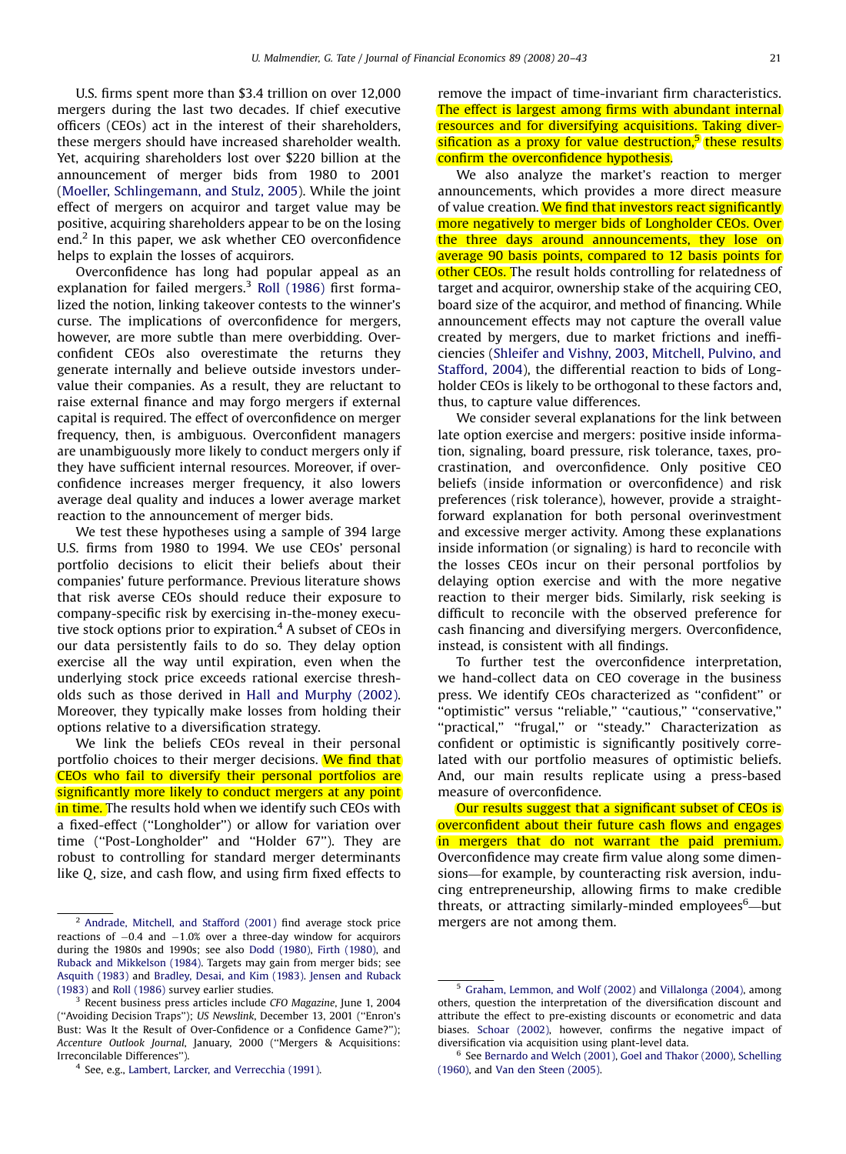U.S. firms spent more than \$3.4 trillion on over 12,000 mergers during the last two decades. If chief executive officers (CEOs) act in the interest of their shareholders, these mergers should have increased shareholder wealth. Yet, acquiring shareholders lost over \$220 billion at the announcement of merger bids from 1980 to 2001 ([Moeller, Schlingemann, and Stulz, 2005\)](#page-23-0). While the joint effect of mergers on acquiror and target value may be positive, acquiring shareholders appear to be on the losing end.<sup>2</sup> In this paper, we ask whether CEO overconfidence helps to explain the losses of acquirors.

Overconfidence has long had popular appeal as an explanation for failed mergers.<sup>3</sup> [Roll \(1986\)](#page-23-0) first formalized the notion, linking takeover contests to the winner's curse. The implications of overconfidence for mergers, however, are more subtle than mere overbidding. Overconfident CEOs also overestimate the returns they generate internally and believe outside investors undervalue their companies. As a result, they are reluctant to raise external finance and may forgo mergers if external capital is required. The effect of overconfidence on merger frequency, then, is ambiguous. Overconfident managers are unambiguously more likely to conduct mergers only if they have sufficient internal resources. Moreover, if overconfidence increases merger frequency, it also lowers average deal quality and induces a lower average market reaction to the announcement of merger bids.

We test these hypotheses using a sample of 394 large U.S. firms from 1980 to 1994. We use CEOs' personal portfolio decisions to elicit their beliefs about their companies' future performance. Previous literature shows that risk averse CEOs should reduce their exposure to company-specific risk by exercising in-the-money executive stock options prior to expiration.<sup>4</sup> A subset of CEOs in our data persistently fails to do so. They delay option exercise all the way until expiration, even when the underlying stock price exceeds rational exercise thresholds such as those derived in [Hall and Murphy \(2002\)](#page-22-0). Moreover, they typically make losses from holding their options relative to a diversification strategy.

We link the beliefs CEOs reveal in their personal portfolio choices to their merger decisions. We find that CEOs who fail to diversify their personal portfolios are significantly more likely to conduct mergers at any point in time. The results hold when we identify such CEOs with a fixed-effect (''Longholder'') or allow for variation over time (''Post-Longholder'' and ''Holder 67''). They are robust to controlling for standard merger determinants like Q, size, and cash flow, and using firm fixed effects to

remove the impact of time-invariant firm characteristics. The effect is largest among firms with abundant internal resources and for diversifying acquisitions. Taking diversification as a proxy for value destruction,<sup>5</sup> these results confirm the overconfidence hypothesis.

We also analyze the market's reaction to merger announcements, which provides a more direct measure of value creation. We find that investors react significantly more negatively to merger bids of Longholder CEOs. Over the three days around announcements, they lose on average 90 basis points, compared to 12 basis points for other CEOs. The result holds controlling for relatedness of target and acquiror, ownership stake of the acquiring CEO, board size of the acquiror, and method of financing. While announcement effects may not capture the overall value created by mergers, due to market frictions and inefficiencies ([Shleifer and Vishny, 2003](#page-23-0), [Mitchell, Pulvino, and](#page-23-0) [Stafford, 2004\)](#page-23-0), the differential reaction to bids of Longholder CEOs is likely to be orthogonal to these factors and, thus, to capture value differences.

We consider several explanations for the link between late option exercise and mergers: positive inside information, signaling, board pressure, risk tolerance, taxes, procrastination, and overconfidence. Only positive CEO beliefs (inside information or overconfidence) and risk preferences (risk tolerance), however, provide a straightforward explanation for both personal overinvestment and excessive merger activity. Among these explanations inside information (or signaling) is hard to reconcile with the losses CEOs incur on their personal portfolios by delaying option exercise and with the more negative reaction to their merger bids. Similarly, risk seeking is difficult to reconcile with the observed preference for cash financing and diversifying mergers. Overconfidence, instead, is consistent with all findings.

To further test the overconfidence interpretation, we hand-collect data on CEO coverage in the business press. We identify CEOs characterized as ''confident'' or ''optimistic'' versus ''reliable,'' ''cautious,'' ''conservative,'' "practical," "frugal," or "steady." Characterization as confident or optimistic is significantly positively correlated with our portfolio measures of optimistic beliefs. And, our main results replicate using a press-based measure of overconfidence.

Our results suggest that a significant subset of CEOs is overconfident about their future cash flows and engages in mergers that do not warrant the paid premium. Overconfidence may create firm value along some dimensions—for example, by counteracting risk aversion, inducing entrepreneurship, allowing firms to make credible threats, or attracting similarly-minded employees<sup>6</sup>—but mergers are not among them.

<sup>2</sup> [Andrade, Mitchell, and Stafford \(2001\)](#page-22-0) find average stock price reactions of -0:4 and -1:0% over a three-day window for acquirors during the 1980s and 1990s; see also [Dodd \(1980\),](#page-22-0) [Firth \(1980\)](#page-22-0), and [Ruback and Mikkelson \(1984\)](#page-23-0). Targets may gain from merger bids; see [Asquith \(1983\)](#page-22-0) and [Bradley, Desai, and Kim \(1983\)](#page-22-0). [Jensen and Ruback](#page-22-0) [\(1983\)](#page-22-0) and [Roll \(1986\)](#page-23-0) survey earlier studies.

<sup>&</sup>lt;sup>3</sup> Recent business press articles include CFO Magazine, June 1, 2004 (''Avoiding Decision Traps''); US Newslink, December 13, 2001 (''Enron's Bust: Was It the Result of Over-Confidence or a Confidence Game?''); Accenture Outlook Journal, January, 2000 (''Mergers & Acquisitions: Irreconcilable Differences'').

<sup>&</sup>lt;sup>4</sup> See, e.g., [Lambert, Larcker, and Verrecchia \(1991\).](#page-23-0)

<sup>5</sup> [Graham, Lemmon, and Wolf \(2002\)](#page-22-0) and [Villalonga \(2004\)](#page-23-0), among others, question the interpretation of the diversification discount and attribute the effect to pre-existing discounts or econometric and data biases. [Schoar \(2002\)](#page-23-0), however, confirms the negative impact of diversification via acquisition using plant-level data.

<sup>6</sup> See [Bernardo and Welch \(2001\)](#page-22-0), [Goel and Thakor \(2000\)](#page-22-0), [Schelling](#page-23-0) [\(1960\),](#page-23-0) and [Van den Steen \(2005\)](#page-23-0).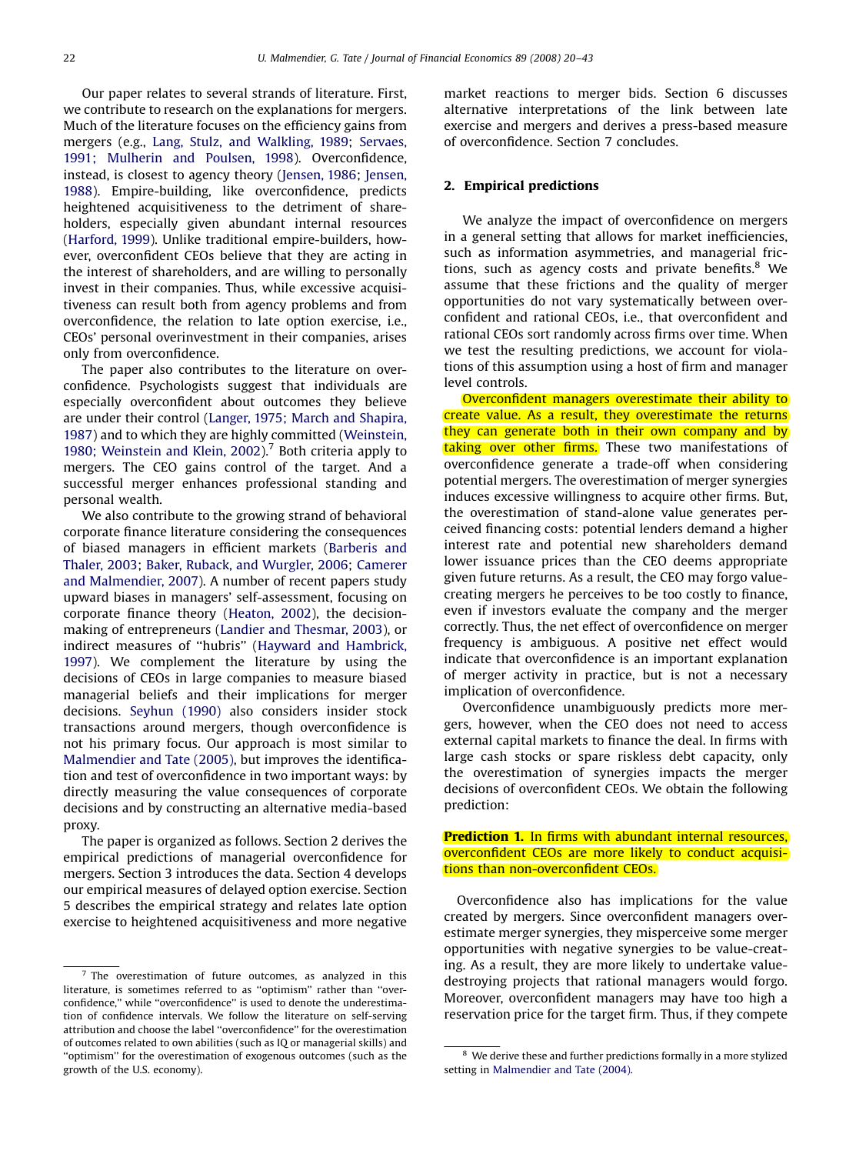Our paper relates to several strands of literature. First, we contribute to research on the explanations for mergers. Much of the literature focuses on the efficiency gains from mergers (e.g., [Lang, Stulz, and Walkling, 1989](#page-23-0); [Servaes,](#page-23-0) [1991; Mulherin and Poulsen, 1998](#page-23-0)). Overconfidence, instead, is closest to agency theory ([Jensen, 1986](#page-22-0); [Jensen,](#page-22-0) [1988\)](#page-22-0). Empire-building, like overconfidence, predicts heightened acquisitiveness to the detriment of shareholders, especially given abundant internal resources ([Harford, 1999\)](#page-22-0). Unlike traditional empire-builders, however, overconfident CEOs believe that they are acting in the interest of shareholders, and are willing to personally invest in their companies. Thus, while excessive acquisitiveness can result both from agency problems and from overconfidence, the relation to late option exercise, i.e., CEOs' personal overinvestment in their companies, arises only from overconfidence.

The paper also contributes to the literature on overconfidence. Psychologists suggest that individuals are especially overconfident about outcomes they believe are under their control [\(Langer, 1975; March and Shapira,](#page-23-0) [1987\)](#page-23-0) and to which they are highly committed [\(Weinstein,](#page-23-0) [1980; Weinstein and Klein, 2002\)](#page-23-0).<sup>7</sup> Both criteria apply to mergers. The CEO gains control of the target. And a successful merger enhances professional standing and personal wealth.

We also contribute to the growing strand of behavioral corporate finance literature considering the consequences of biased managers in efficient markets ([Barberis and](#page-22-0) [Thaler, 2003;](#page-22-0) [Baker, Ruback, and Wurgler, 2006](#page-22-0); [Camerer](#page-22-0) [and Malmendier, 2007\)](#page-22-0). A number of recent papers study upward biases in managers' self-assessment, focusing on corporate finance theory [\(Heaton, 2002\)](#page-22-0), the decisionmaking of entrepreneurs ([Landier and Thesmar, 2003](#page-23-0)), or indirect measures of ''hubris'' ([Hayward and Hambrick,](#page-22-0) [1997](#page-22-0)). We complement the literature by using the decisions of CEOs in large companies to measure biased managerial beliefs and their implications for merger decisions. [Seyhun \(1990\)](#page-23-0) also considers insider stock transactions around mergers, though overconfidence is not his primary focus. Our approach is most similar to [Malmendier and Tate \(2005\)](#page-23-0), but improves the identification and test of overconfidence in two important ways: by directly measuring the value consequences of corporate decisions and by constructing an alternative media-based proxy.

The paper is organized as follows. Section 2 derives the empirical predictions of managerial overconfidence for mergers. Section 3 introduces the data. Section 4 develops our empirical measures of delayed option exercise. Section 5 describes the empirical strategy and relates late option exercise to heightened acquisitiveness and more negative

market reactions to merger bids. Section 6 discusses alternative interpretations of the link between late exercise and mergers and derives a press-based measure of overconfidence. Section 7 concludes.

# 2. Empirical predictions

We analyze the impact of overconfidence on mergers in a general setting that allows for market inefficiencies, such as information asymmetries, and managerial frictions, such as agency costs and private benefits.<sup>8</sup> We assume that these frictions and the quality of merger opportunities do not vary systematically between overconfident and rational CEOs, i.e., that overconfident and rational CEOs sort randomly across firms over time. When we test the resulting predictions, we account for violations of this assumption using a host of firm and manager level controls.

Overconfident managers overestimate their ability to create value. As a result, they overestimate the returns they can generate both in their own company and by taking over other firms. These two manifestations of overconfidence generate a trade-off when considering potential mergers. The overestimation of merger synergies induces excessive willingness to acquire other firms. But, the overestimation of stand-alone value generates perceived financing costs: potential lenders demand a higher interest rate and potential new shareholders demand lower issuance prices than the CEO deems appropriate given future returns. As a result, the CEO may forgo valuecreating mergers he perceives to be too costly to finance, even if investors evaluate the company and the merger correctly. Thus, the net effect of overconfidence on merger frequency is ambiguous. A positive net effect would indicate that overconfidence is an important explanation of merger activity in practice, but is not a necessary implication of overconfidence.

Overconfidence unambiguously predicts more mergers, however, when the CEO does not need to access external capital markets to finance the deal. In firms with large cash stocks or spare riskless debt capacity, only the overestimation of synergies impacts the merger decisions of overconfident CEOs. We obtain the following prediction:

# **Prediction 1.** In firms with abundant internal resources, overconfident CEOs are more likely to conduct acquisitions than non-overconfident CEOs.

Overconfidence also has implications for the value created by mergers. Since overconfident managers overestimate merger synergies, they misperceive some merger opportunities with negative synergies to be value-creating. As a result, they are more likely to undertake valuedestroying projects that rational managers would forgo. Moreover, overconfident managers may have too high a reservation price for the target firm. Thus, if they compete

 $7$  The overestimation of future outcomes, as analyzed in this literature, is sometimes referred to as ''optimism'' rather than ''overconfidence,'' while ''overconfidence'' is used to denote the underestimation of confidence intervals. We follow the literature on self-serving attribution and choose the label ''overconfidence'' for the overestimation of outcomes related to own abilities (such as IQ or managerial skills) and ''optimism'' for the overestimation of exogenous outcomes (such as the growth of the U.S. economy).

<sup>&</sup>lt;sup>8</sup> We derive these and further predictions formally in a more stylized setting in [Malmendier and Tate \(2004\).](#page-23-0)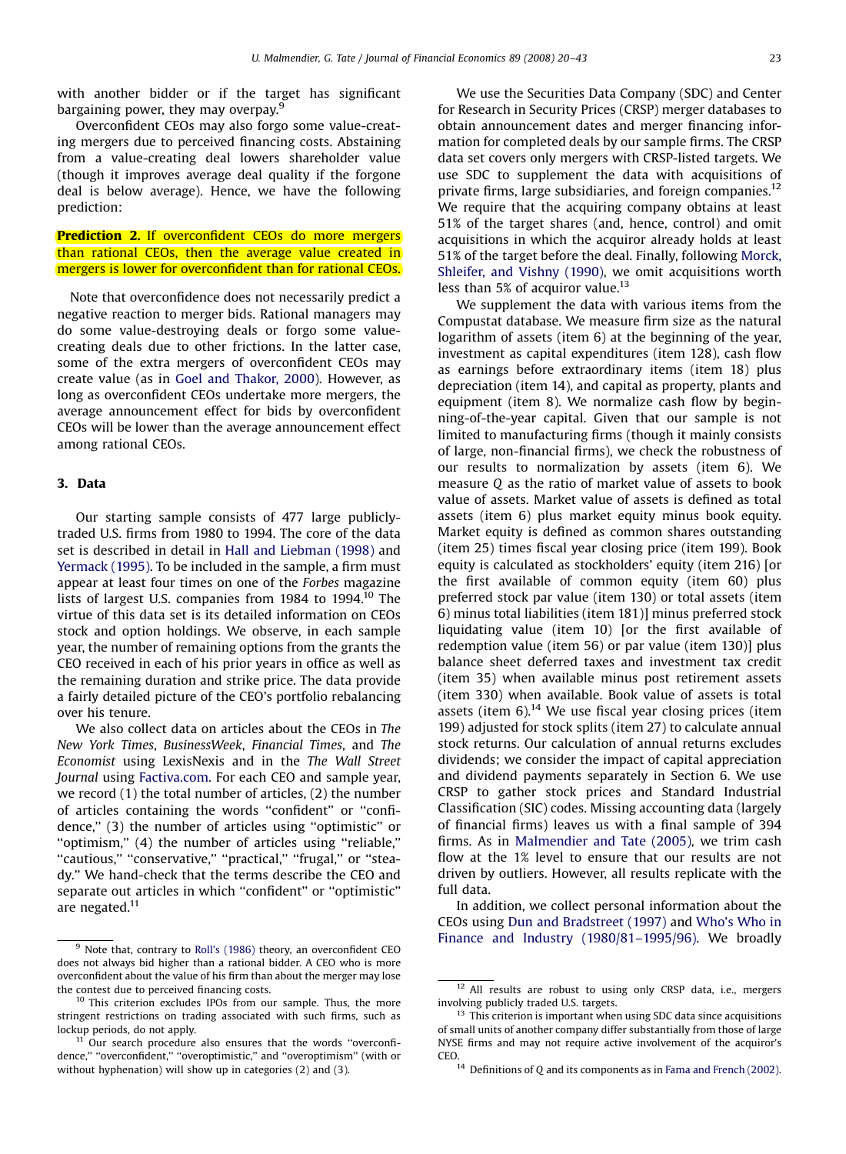with another bidder or if the target has significant bargaining power, they may overpay.<sup>9</sup>

Overconfident CEOs may also forgo some value-creating mergers due to perceived financing costs. Abstaining from a value-creating deal lowers shareholder value (though it improves average deal quality if the forgone deal is below average). Hence, we have the following prediction:

# **Prediction 2.** If overconfident CEOs do more mergers than rational CEOs, then the average value created in mergers is lower for overconfident than for rational CEOs.

Note that overconfidence does not necessarily predict a negative reaction to merger bids. Rational managers may do some value-destroying deals or forgo some valuecreating deals due to other frictions. In the latter case, some of the extra mergers of overconfident CEOs may create value (as in [Goel and Thakor, 2000](#page-22-0)). However, as long as overconfident CEOs undertake more mergers, the average announcement effect for bids by overconfident CEOs will be lower than the average announcement effect among rational CEOs.

## 3. Data

Our starting sample consists of 477 large publiclytraded U.S. firms from 1980 to 1994. The core of the data set is described in detail in [Hall and Liebman \(1998\)](#page-22-0) and [Yermack \(1995\)](#page-23-0). To be included in the sample, a firm must appear at least four times on one of the Forbes magazine lists of largest U.S. companies from 1984 to 1994.10 The virtue of this data set is its detailed information on CEOs stock and option holdings. We observe, in each sample year, the number of remaining options from the grants the CEO received in each of his prior years in office as well as the remaining duration and strike price. The data provide a fairly detailed picture of the CEO's portfolio rebalancing over his tenure.

We also collect data on articles about the CEOs in The New York Times, BusinessWeek, Financial Times, and The Economist using LexisNexis and in the The Wall Street Journal using [Factiva.com](http://Factiva.com). For each CEO and sample year, we record (1) the total number of articles, (2) the number of articles containing the words ''confident'' or ''confidence,'' (3) the number of articles using ''optimistic'' or ''optimism,'' (4) the number of articles using ''reliable,'' "cautious," "conservative," "practical," "frugal," or "steady.'' We hand-check that the terms describe the CEO and separate out articles in which "confident" or "optimistic" are negated. $11$ 

We use the Securities Data Company (SDC) and Center for Research in Security Prices (CRSP) merger databases to obtain announcement dates and merger financing information for completed deals by our sample firms. The CRSP data set covers only mergers with CRSP-listed targets. We use SDC to supplement the data with acquisitions of private firms, large subsidiaries, and foreign companies.<sup>12</sup> We require that the acquiring company obtains at least 51% of the target shares (and, hence, control) and omit acquisitions in which the acquiror already holds at least 51% of the target before the deal. Finally, following [Morck,](#page-23-0) [Shleifer, and Vishny \(1990\),](#page-23-0) we omit acquisitions worth less than 5% of acquiror value. $^{13}$ 

We supplement the data with various items from the Compustat database. We measure firm size as the natural logarithm of assets (item 6) at the beginning of the year, investment as capital expenditures (item 128), cash flow as earnings before extraordinary items (item 18) plus depreciation (item 14), and capital as property, plants and equipment (item 8). We normalize cash flow by beginning-of-the-year capital. Given that our sample is not limited to manufacturing firms (though it mainly consists of large, non-financial firms), we check the robustness of our results to normalization by assets (item 6). We measure Q as the ratio of market value of assets to book value of assets. Market value of assets is defined as total assets (item 6) plus market equity minus book equity. Market equity is defined as common shares outstanding (item 25) times fiscal year closing price (item 199). Book equity is calculated as stockholders' equity (item 216) [or the first available of common equity (item 60) plus preferred stock par value (item 130) or total assets (item 6) minus total liabilities (item 181)] minus preferred stock liquidating value (item 10) [or the first available of redemption value (item 56) or par value (item 130)] plus balance sheet deferred taxes and investment tax credit (item 35) when available minus post retirement assets (item 330) when available. Book value of assets is total assets (item  $6$ ).<sup>14</sup> We use fiscal year closing prices (item 199) adjusted for stock splits (item 27) to calculate annual stock returns. Our calculation of annual returns excludes dividends; we consider the impact of capital appreciation and dividend payments separately in Section 6. We use CRSP to gather stock prices and Standard Industrial Classification (SIC) codes. Missing accounting data (largely of financial firms) leaves us with a final sample of 394 firms. As in [Malmendier and Tate \(2005\)](#page-23-0), we trim cash flow at the 1% level to ensure that our results are not driven by outliers. However, all results replicate with the full data.

In addition, we collect personal information about the CEOs using [Dun and Bradstreet \(1997\)](#page-22-0) and [Who's Who in](#page-23-0) [Finance and Industry \(1980/81–1995/96\)](#page-23-0). We broadly

<sup>9</sup> Note that, contrary to [Roll's \(1986\)](#page-23-0) theory, an overconfident CEO does not always bid higher than a rational bidder. A CEO who is more overconfident about the value of his firm than about the merger may lose the contest due to perceived financing costs.

<sup>&</sup>lt;sup>10</sup> This criterion excludes IPOs from our sample. Thus, the more stringent restrictions on trading associated with such firms, such as lockup periods, do not apply.

 $11$  Our search procedure also ensures that the words "overconfidence," "overconfident," "overoptimistic," and "overoptimism" (with or without hyphenation) will show up in categories (2) and (3).

<sup>&</sup>lt;sup>12</sup> All results are robust to using only CRSP data, i.e., mergers involving publicly traded U.S. targets.

 $13$  This criterion is important when using SDC data since acquisitions of small units of another company differ substantially from those of large NYSE firms and may not require active involvement of the acquiror's CEO.<br><sup>14</sup> Definitions of Q and its components as in [Fama and French \(2002\).](#page-22-0)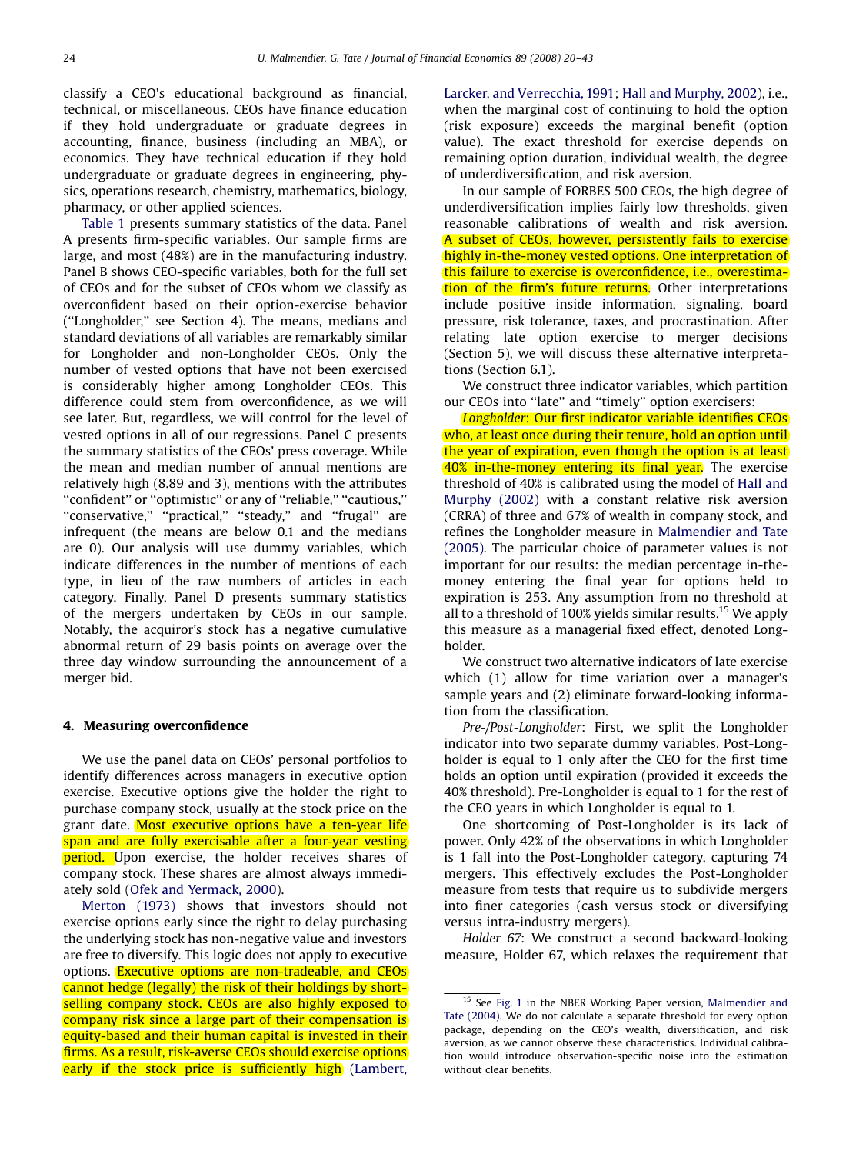classify a CEO's educational background as financial, technical, or miscellaneous. CEOs have finance education if they hold undergraduate or graduate degrees in accounting, finance, business (including an MBA), or economics. They have technical education if they hold undergraduate or graduate degrees in engineering, physics, operations research, chemistry, mathematics, biology, pharmacy, or other applied sciences.

[Table 1](#page-5-0) presents summary statistics of the data. Panel A presents firm-specific variables. Our sample firms are large, and most (48%) are in the manufacturing industry. Panel B shows CEO-specific variables, both for the full set of CEOs and for the subset of CEOs whom we classify as overconfident based on their option-exercise behavior (''Longholder,'' see Section 4). The means, medians and standard deviations of all variables are remarkably similar for Longholder and non-Longholder CEOs. Only the number of vested options that have not been exercised is considerably higher among Longholder CEOs. This difference could stem from overconfidence, as we will see later. But, regardless, we will control for the level of vested options in all of our regressions. Panel C presents the summary statistics of the CEOs' press coverage. While the mean and median number of annual mentions are relatively high (8.89 and 3), mentions with the attributes ''confident'' or ''optimistic'' or any of ''reliable,'' ''cautious,'' "conservative," "practical," "steady," and "frugal" are infrequent (the means are below 0.1 and the medians are 0). Our analysis will use dummy variables, which indicate differences in the number of mentions of each type, in lieu of the raw numbers of articles in each category. Finally, Panel D presents summary statistics of the mergers undertaken by CEOs in our sample. Notably, the acquiror's stock has a negative cumulative abnormal return of 29 basis points on average over the three day window surrounding the announcement of a merger bid.

## 4. Measuring overconfidence

We use the panel data on CEOs' personal portfolios to identify differences across managers in executive option exercise. Executive options give the holder the right to purchase company stock, usually at the stock price on the grant date. Most executive options have a ten-year life span and are fully exercisable after a four-year vesting period. Upon exercise, the holder receives shares of company stock. These shares are almost always immediately sold ([Ofek and Yermack, 2000\)](#page-23-0).

[Merton \(1973\)](#page-23-0) shows that investors should not exercise options early since the right to delay purchasing the underlying stock has non-negative value and investors are free to diversify. This logic does not apply to executive options. Executive options are non-tradeable, and CEOs cannot hedge (legally) the risk of their holdings by shortselling company stock. CEOs are also highly exposed to company risk since a large part of their compensation is equity-based and their human capital is invested in their firms. As a result, risk-averse CEOs should exercise options early if the stock price is sufficiently high [\(Lambert,](#page-23-0)

[Larcker, and Verrecchia, 1991;](#page-23-0) [Hall and Murphy, 2002\)](#page-22-0), i.e., when the marginal cost of continuing to hold the option (risk exposure) exceeds the marginal benefit (option value). The exact threshold for exercise depends on remaining option duration, individual wealth, the degree of underdiversification, and risk aversion.

In our sample of FORBES 500 CEOs, the high degree of underdiversification implies fairly low thresholds, given reasonable calibrations of wealth and risk aversion. A subset of CEOs, however, persistently fails to exercise highly in-the-money vested options. One interpretation of this failure to exercise is overconfidence, i.e., overestimation of the firm's future returns. Other interpretations include positive inside information, signaling, board pressure, risk tolerance, taxes, and procrastination. After relating late option exercise to merger decisions (Section 5), we will discuss these alternative interpretations (Section 6.1).

We construct three indicator variables, which partition our CEOs into ''late'' and ''timely'' option exercisers:

Longholder: Our first indicator variable identifies CEOs who, at least once during their tenure, hold an option until the year of expiration, even though the option is at least 40% in-the-money entering its final year. The exercise threshold of 40% is calibrated using the model of [Hall and](#page-22-0) [Murphy \(2002\)](#page-22-0) with a constant relative risk aversion (CRRA) of three and 67% of wealth in company stock, and refines the Longholder measure in [Malmendier and Tate](#page-23-0) [\(2005\)](#page-23-0). The particular choice of parameter values is not important for our results: the median percentage in-themoney entering the final year for options held to expiration is 253. Any assumption from no threshold at all to a threshold of 100% yields similar results.<sup>15</sup> We apply this measure as a managerial fixed effect, denoted Longholder.

We construct two alternative indicators of late exercise which (1) allow for time variation over a manager's sample years and (2) eliminate forward-looking information from the classification.

Pre-/Post-Longholder: First, we split the Longholder indicator into two separate dummy variables. Post-Longholder is equal to 1 only after the CEO for the first time holds an option until expiration (provided it exceeds the 40% threshold). Pre-Longholder is equal to 1 for the rest of the CEO years in which Longholder is equal to 1.

One shortcoming of Post-Longholder is its lack of power. Only 42% of the observations in which Longholder is 1 fall into the Post-Longholder category, capturing 74 mergers. This effectively excludes the Post-Longholder measure from tests that require us to subdivide mergers into finer categories (cash versus stock or diversifying versus intra-industry mergers).

Holder 67: We construct a second backward-looking measure, Holder 67, which relaxes the requirement that

<sup>&</sup>lt;sup>15</sup> See [Fig. 1](#page-7-0) in the NBER Working Paper version, [Malmendier and](#page-23-0) [Tate \(2004\).](#page-23-0) We do not calculate a separate threshold for every option package, depending on the CEO's wealth, diversification, and risk aversion, as we cannot observe these characteristics. Individual calibration would introduce observation-specific noise into the estimation without clear benefits.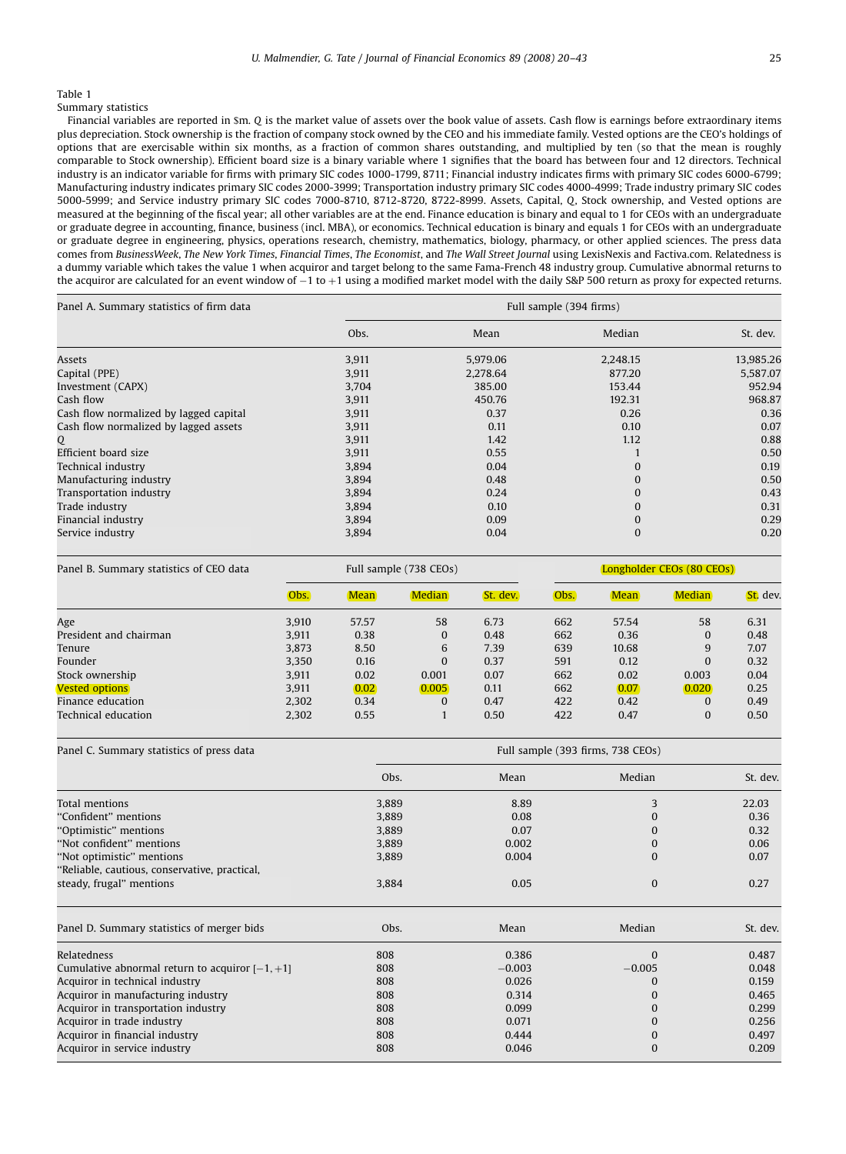## <span id="page-5-0"></span>Summary statistics

Financial variables are reported in \$m. Q is the market value of assets over the book value of assets. Cash flow is earnings before extraordinary items plus depreciation. Stock ownership is the fraction of company stock owned by the CEO and his immediate family. Vested options are the CEO's holdings of options that are exercisable within six months, as a fraction of common shares outstanding, and multiplied by ten (so that the mean is roughly comparable to Stock ownership). Efficient board size is a binary variable where 1 signifies that the board has between four and 12 directors. Technical industry is an indicator variable for firms with primary SIC codes 1000-1799, 8711; Financial industry indicates firms with primary SIC codes 6000-6799; Manufacturing industry indicates primary SIC codes 2000-3999; Transportation industry primary SIC codes 4000-4999; Trade industry primary SIC codes 5000-5999; and Service industry primary SIC codes 7000-8710, 8712-8720, 8722-8999. Assets, Capital, Q, Stock ownership, and Vested options are measured at the beginning of the fiscal year; all other variables are at the end. Finance education is binary and equal to 1 for CEOs with an undergraduate or graduate degree in accounting, finance, business (incl. MBA), or economics. Technical education is binary and equals 1 for CEOs with an undergraduate or graduate degree in engineering, physics, operations research, chemistry, mathematics, biology, pharmacy, or other applied sciences. The press data comes from BusinessWeek, The New York Times, Financial Times, The Economist, and The Wall Street Journal using LexisNexis and Factiva.com. Relatedness is a dummy variable which takes the value 1 when acquiror and target belong to the same Fama-French 48 industry group. Cumulative abnormal returns to the acquiror are calculated for an event window of –1 to +1 using a modified market model with the daily S&P 500 return as proxy for expected returns.

| Panel A. Summary statistics of firm data | Full sample (394 firms) |          |              |           |  |  |  |
|------------------------------------------|-------------------------|----------|--------------|-----------|--|--|--|
|                                          | Obs.                    | Mean     | Median       | St. dev.  |  |  |  |
| Assets                                   | 3,911                   | 5,979.06 | 2,248.15     | 13,985.26 |  |  |  |
| Capital (PPE)                            | 3,911                   | 2,278.64 | 877.20       | 5,587.07  |  |  |  |
| Investment (CAPX)                        | 3,704                   | 385.00   | 153.44       | 952.94    |  |  |  |
| Cash flow                                | 3,911                   | 450.76   | 192.31       | 968.87    |  |  |  |
| Cash flow normalized by lagged capital   | 3,911                   | 0.37     | 0.26         | 0.36      |  |  |  |
| Cash flow normalized by lagged assets    | 3,911                   | 0.11     | 0.10         | 0.07      |  |  |  |
| Q                                        | 3,911                   | 1.42     | 1.12         | 0.88      |  |  |  |
| Efficient board size                     | 3,911                   | 0.55     |              | 0.50      |  |  |  |
| Technical industry                       | 3,894                   | 0.04     |              | 0.19      |  |  |  |
| Manufacturing industry                   | 3,894                   | 0.48     |              | 0.50      |  |  |  |
| Transportation industry                  | 3,894                   | 0.24     |              | 0.43      |  |  |  |
| Trade industry                           | 3,894                   | 0.10     |              | 0.31      |  |  |  |
| Financial industry                       | 3,894                   | 0.09     | 0            | 0.29      |  |  |  |
| Service industry                         | 3,894                   | 0.04     | $\mathbf{0}$ | 0.20      |  |  |  |

| Panel B. Summary statistics of CEO data | Full sample (738 CEOs) |       |               |          | Longholder CEOs (80 CEOs) |       |          |          |
|-----------------------------------------|------------------------|-------|---------------|----------|---------------------------|-------|----------|----------|
|                                         | Obs.                   | Mean  | <b>Median</b> | St. dev. | Obs.                      | Mean  | Median   | St. dev. |
| Age                                     | 3.910                  | 57.57 | 58            | 6.73     | 662                       | 57.54 | 58       | 6.31     |
| President and chairman                  | 3.911                  | 0.38  | $\Omega$      | 0.48     | 662                       | 0.36  | $\Omega$ | 0.48     |
| Tenure                                  | 3.873                  | 8.50  | 6             | 7.39     | 639                       | 10.68 | 9        | 7.07     |
| Founder                                 | 3.350                  | 0.16  | $\Omega$      | 0.37     | 591                       | 0.12  | $\Omega$ | 0.32     |
| Stock ownership                         | 3.911                  | 0.02  | 0.001         | 0.07     | 662                       | 0.02  | 0.003    | 0.04     |
| <b>Vested options</b>                   | 3.911                  | 0.02  | 0.005         | 0.11     | 662                       | 0.07  | 0.020    | 0.25     |
| Finance education                       | 2,302                  | 0.34  | 0             | 0.47     | 422                       | 0.42  |          | 0.49     |
| Technical education                     | 2,302                  | 0.55  |               | 0.50     | 422                       | 0.47  | $\bf{0}$ | 0.50     |

| Panel C. Summary statistics of press data     | Full sample (393 firms, 738 CEOs) |       |          |          |  |  |  |
|-----------------------------------------------|-----------------------------------|-------|----------|----------|--|--|--|
|                                               | Obs.                              | Mean  | Median   | St. dev. |  |  |  |
| Total mentions                                | 3,889                             | 8.89  |          | 22.03    |  |  |  |
| "Confident" mentions                          | 3.889                             | 0.08  | $\Omega$ | 0.36     |  |  |  |
| "Optimistic" mentions                         | 3.889                             | 0.07  | $\Omega$ | 0.32     |  |  |  |
| "Not confident" mentions                      | 3.889                             | 0.002 | $\Omega$ | 0.06     |  |  |  |
| "Not optimistic" mentions                     | 3,889                             | 0.004 | $\Omega$ | 0.07     |  |  |  |
| "Reliable, cautious, conservative, practical, |                                   |       |          |          |  |  |  |
| steady, frugal" mentions                      | 3,884                             | 0.05  | $\Omega$ | 0.27     |  |  |  |

| Panel D. Summary statistics of merger bids        | Obs. | Mean     | Median   | St. dev. |
|---------------------------------------------------|------|----------|----------|----------|
| Relatedness                                       | 808  | 0.386    |          | 0.487    |
| Cumulative abnormal return to acquiror $[-1, +1]$ | 808  | $-0.003$ | $-0.005$ | 0.048    |
| Acquiror in technical industry                    | 808  | 0.026    |          | 0.159    |
| Acquiror in manufacturing industry                | 808  | 0.314    |          | 0.465    |
| Acquiror in transportation industry               | 808  | 0.099    |          | 0.299    |
| Acquiror in trade industry                        | 808  | 0.071    |          | 0.256    |
| Acquiror in financial industry                    | 808  | 0.444    |          | 0.497    |
| Acquiror in service industry                      | 808  | 0.046    |          | 0.209    |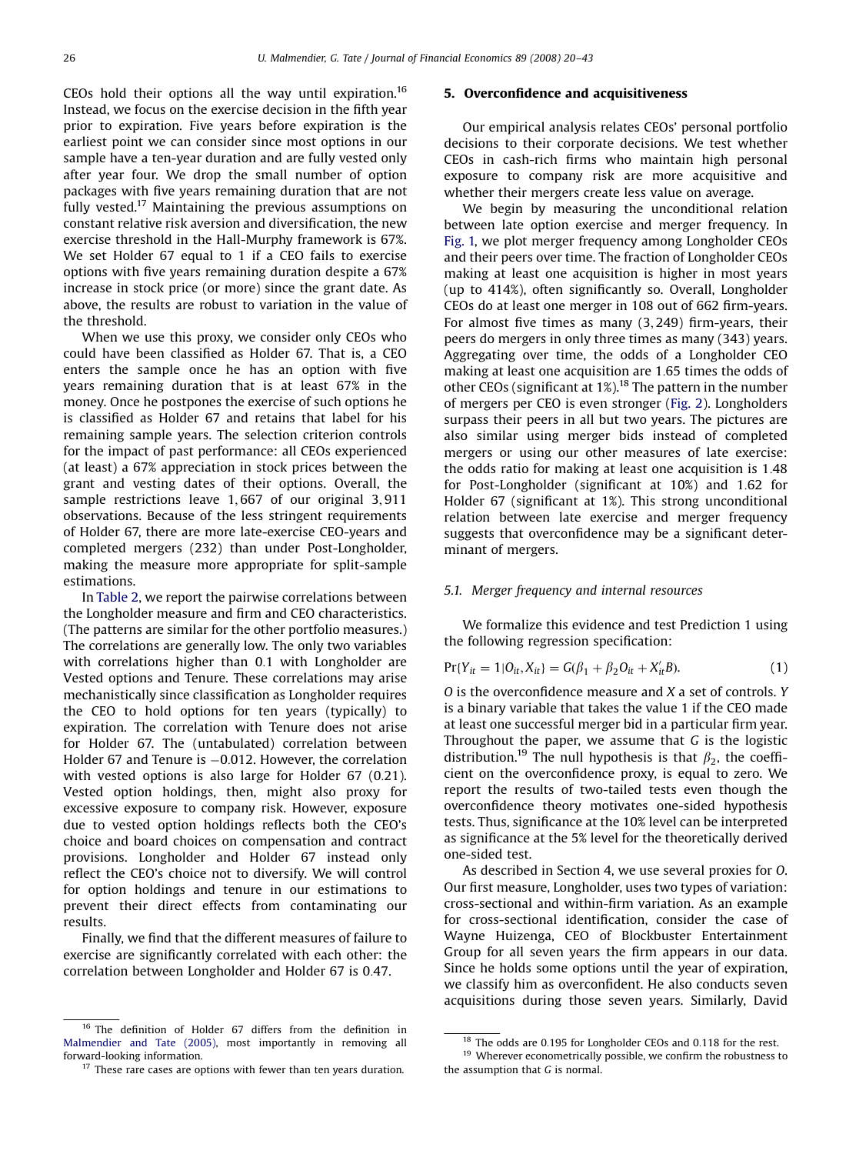CEOs hold their options all the way until expiration.16 Instead, we focus on the exercise decision in the fifth year prior to expiration. Five years before expiration is the earliest point we can consider since most options in our sample have a ten-year duration and are fully vested only after year four. We drop the small number of option packages with five years remaining duration that are not fully vested.<sup>17</sup> Maintaining the previous assumptions on constant relative risk aversion and diversification, the new exercise threshold in the Hall-Murphy framework is 67%. We set Holder 67 equal to 1 if a CEO fails to exercise options with five years remaining duration despite a 67% increase in stock price (or more) since the grant date. As above, the results are robust to variation in the value of the threshold.

When we use this proxy, we consider only CEOs who could have been classified as Holder 67. That is, a CEO enters the sample once he has an option with five years remaining duration that is at least 67% in the money. Once he postpones the exercise of such options he is classified as Holder 67 and retains that label for his remaining sample years. The selection criterion controls for the impact of past performance: all CEOs experienced (at least) a 67% appreciation in stock prices between the grant and vesting dates of their options. Overall, the sample restrictions leave 1,667 of our original 3,911 observations. Because of the less stringent requirements of Holder 67, there are more late-exercise CEO-years and completed mergers (232) than under Post-Longholder, making the measure more appropriate for split-sample estimations.

In [Table 2](#page-7-0), we report the pairwise correlations between the Longholder measure and firm and CEO characteristics. (The patterns are similar for the other portfolio measures.) The correlations are generally low. The only two variables with correlations higher than 0:1 with Longholder are Vested options and Tenure. These correlations may arise mechanistically since classification as Longholder requires the CEO to hold options for ten years (typically) to expiration. The correlation with Tenure does not arise for Holder 67. The (untabulated) correlation between Holder 67 and Tenure is  $-0.012$ . However, the correlation with vested options is also large for Holder 67 (0.21). Vested option holdings, then, might also proxy for excessive exposure to company risk. However, exposure due to vested option holdings reflects both the CEO's choice and board choices on compensation and contract provisions. Longholder and Holder 67 instead only reflect the CEO's choice not to diversify. We will control for option holdings and tenure in our estimations to prevent their direct effects from contaminating our results.

Finally, we find that the different measures of failure to exercise are significantly correlated with each other: the correlation between Longholder and Holder 67 is 0:47.

### 5. Overconfidence and acquisitiveness

Our empirical analysis relates CEOs' personal portfolio decisions to their corporate decisions. We test whether CEOs in cash-rich firms who maintain high personal exposure to company risk are more acquisitive and whether their mergers create less value on average.

We begin by measuring the unconditional relation between late option exercise and merger frequency. In [Fig. 1,](#page-7-0) we plot merger frequency among Longholder CEOs and their peers over time. The fraction of Longholder CEOs making at least one acquisition is higher in most years (up to 414%), often significantly so. Overall, Longholder CEOs do at least one merger in 108 out of 662 firm-years. For almost five times as many (3; 249) firm-years, their peers do mergers in only three times as many (343) years. Aggregating over time, the odds of a Longholder CEO making at least one acquisition are 1:65 times the odds of other CEOs (significant at 1%).18 The pattern in the number of mergers per CEO is even stronger ([Fig. 2\)](#page-8-0). Longholders surpass their peers in all but two years. The pictures are also similar using merger bids instead of completed mergers or using our other measures of late exercise: the odds ratio for making at least one acquisition is 1:48 for Post-Longholder (significant at 10%) and 1:62 for Holder 67 (significant at 1%). This strong unconditional relation between late exercise and merger frequency suggests that overconfidence may be a significant determinant of mergers.

## 5.1. Merger frequency and internal resources

We formalize this evidence and test Prediction 1 using the following regression specification:

$$
Pr{Y_{it} = 1|O_{it}, X_{it}} = G(\beta_1 + \beta_2 O_{it} + X'_{it}B). \tag{1}
$$

O is the overconfidence measure and X a set of controls. Y is a binary variable that takes the value 1 if the CEO made at least one successful merger bid in a particular firm year. Throughout the paper, we assume that G is the logistic distribution.<sup>19</sup> The null hypothesis is that  $\beta_2$ , the coefficient on the overconfidence proxy, is equal to zero. We report the results of two-tailed tests even though the overconfidence theory motivates one-sided hypothesis tests. Thus, significance at the 10% level can be interpreted as significance at the 5% level for the theoretically derived one-sided test.

As described in Section 4, we use several proxies for O. Our first measure, Longholder, uses two types of variation: cross-sectional and within-firm variation. As an example for cross-sectional identification, consider the case of Wayne Huizenga, CEO of Blockbuster Entertainment Group for all seven years the firm appears in our data. Since he holds some options until the year of expiration, we classify him as overconfident. He also conducts seven acquisitions during those seven years. Similarly, David

<sup>&</sup>lt;sup>16</sup> The definition of Holder 67 differs from the definition in [Malmendier and Tate \(2005\),](#page-23-0) most importantly in removing all forward-looking information.

 $17$  These rare cases are options with fewer than ten years duration.

<sup>&</sup>lt;sup>18</sup> The odds are 0.195 for Longholder CEOs and 0.118 for the rest. <sup>19</sup> Wherever econometrically possible, we confirm the robustness to

the assumption that G is normal.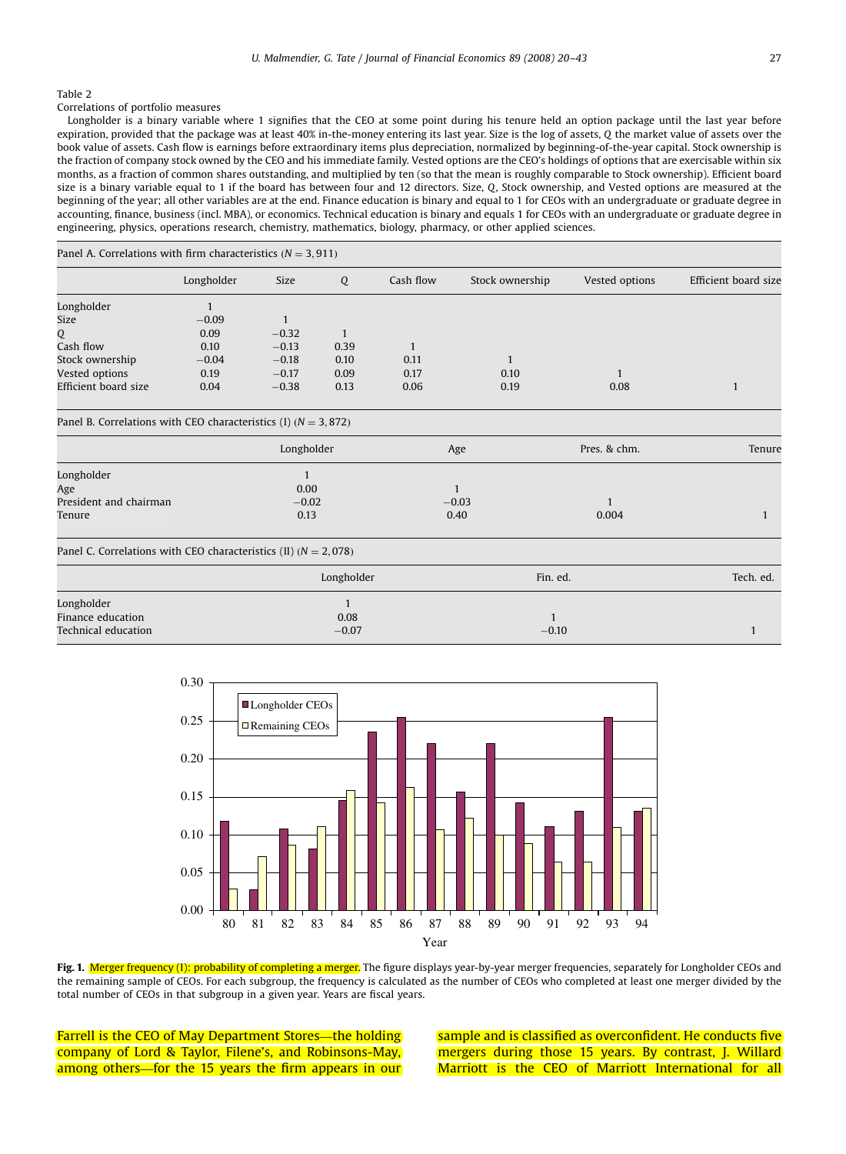<span id="page-7-0"></span>Correlations of portfolio measures

Longholder is a binary variable where 1 signifies that the CEO at some point during his tenure held an option package until the last year before expiration, provided that the package was at least 40% in-the-money entering its last year. Size is the log of assets, Q the market value of assets over the book value of assets. Cash flow is earnings before extraordinary items plus depreciation, normalized by beginning-of-the-year capital. Stock ownership is the fraction of company stock owned by the CEO and his immediate family. Vested options are the CEO's holdings of options that are exercisable within six months, as a fraction of common shares outstanding, and multiplied by ten (so that the mean is roughly comparable to Stock ownership). Efficient board size is a binary variable equal to 1 if the board has between four and 12 directors. Size, Q, Stock ownership, and Vested options are measured at the beginning of the year; all other variables are at the end. Finance education is binary and equal to 1 for CEOs with an undergraduate or graduate degree in accounting, finance, business (incl. MBA), or economics. Technical education is binary and equals 1 for CEOs with an undergraduate or graduate degree in engineering, physics, operations research, chemistry, mathematics, biology, pharmacy, or other applied sciences.

#### Panel A. Correlations with firm characteristics  $(N = 3, 911)$

|                      | Longholder | Size    | Q    | Cash flow | Stock ownership | Vested options | Efficient board size |
|----------------------|------------|---------|------|-----------|-----------------|----------------|----------------------|
| Longholder           |            |         |      |           |                 |                |                      |
| Size                 | $-0.09$    |         |      |           |                 |                |                      |
| Q                    | 0.09       | $-0.32$ |      |           |                 |                |                      |
| Cash flow            | 0.10       | $-0.13$ | 0.39 |           |                 |                |                      |
| Stock ownership      | $-0.04$    | $-0.18$ | 0.10 | 0.11      |                 |                |                      |
| Vested options       | 0.19       | $-0.17$ | 0.09 | 0.17      | 0.10            |                |                      |
| Efficient board size | 0.04       | $-0.38$ | 0.13 | 0.06      | 0.19            | 0.08           |                      |

Panel B. Correlations with CEO characteristics (I)  $(N = 3, 872)$ 

|                        | Longholder | Age     | Pres. & chm. | Tenure |
|------------------------|------------|---------|--------------|--------|
| Longholder             |            |         |              |        |
| Age                    | 0.00       |         |              |        |
| President and chairman | $-0.02$    | $-0.03$ |              |        |
| Tenure                 | 0.13       | 0.40    | 0.004        |        |
|                        |            |         |              |        |

Panel C. Correlations with CEO characteristics  $(II)$   $(N = 2, 078)$ 

|                     | Longholder | Fin. ed. | Tech. ed. |
|---------------------|------------|----------|-----------|
| Longholder          |            |          |           |
| Finance education   | 0.08       |          |           |
| Technical education | $-0.07$    | $-0.10$  |           |



Fig. 1. Merger frequency (I): probability of completing a merger. The figure displays year-by-year merger frequencies, separately for Longholder CEOs and the remaining sample of CEOs. For each subgroup, the frequency is calculated as the number of CEOs who completed at least one merger divided by the total number of CEOs in that subgroup in a given year. Years are fiscal years.

Farrell is the CEO of May Department Stores—the holding company of Lord & Taylor, Filene's, and Robinsons-May, among others—for the 15 years the firm appears in our

sample and is classified as overconfident. He conducts five mergers during those 15 years. By contrast, J. Willard Marriott is the CEO of Marriott International for all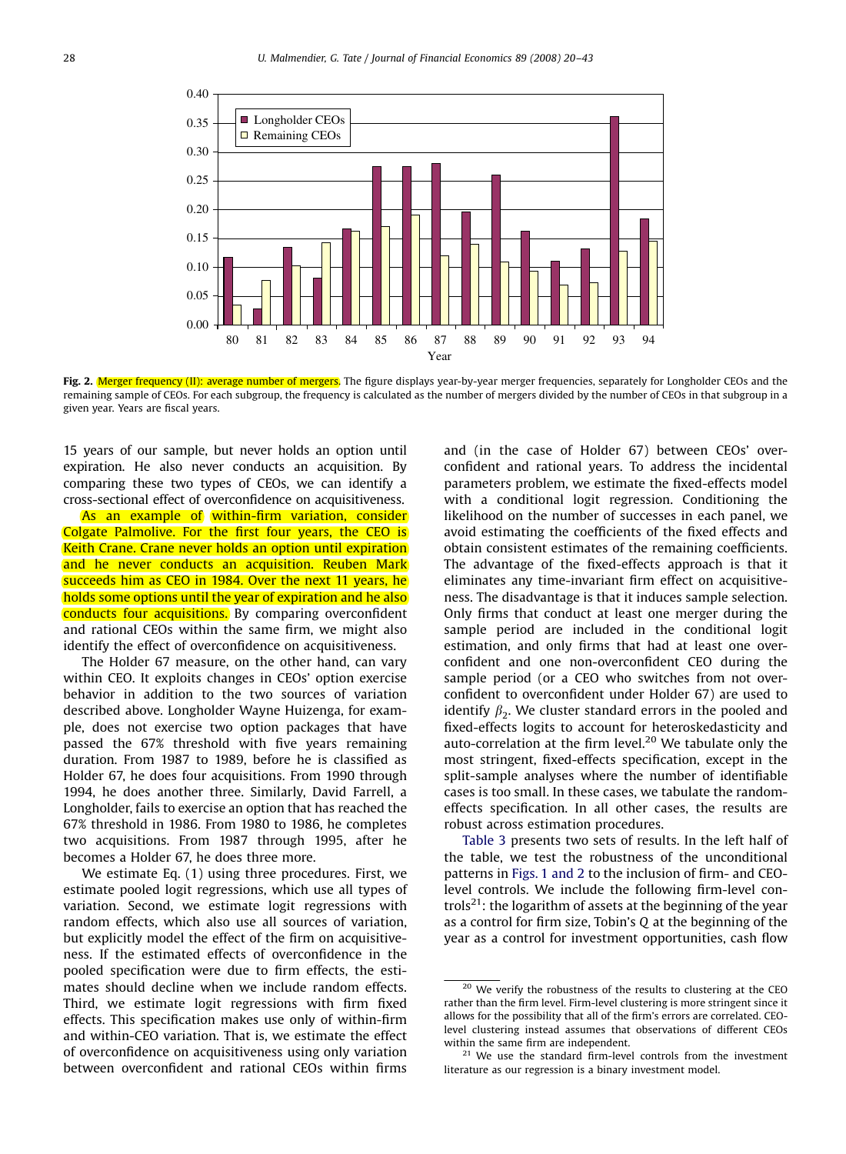<span id="page-8-0"></span>

Fig. 2. Merger frequency (II): average number of mergers. The figure displays year-by-year merger frequencies, separately for Longholder CEOs and the remaining sample of CEOs. For each subgroup, the frequency is calculated as the number of mergers divided by the number of CEOs in that subgroup in a given year. Years are fiscal years.

15 years of our sample, but never holds an option until expiration. He also never conducts an acquisition. By comparing these two types of CEOs, we can identify a cross-sectional effect of overconfidence on acquisitiveness.

As an example of within-firm variation, consider Colgate Palmolive. For the first four years, the CEO is Keith Crane. Crane never holds an option until expiration and he never conducts an acquisition. Reuben Mark succeeds him as CEO in 1984. Over the next 11 years, he holds some options until the year of expiration and he also conducts four acquisitions. By comparing overconfident and rational CEOs within the same firm, we might also identify the effect of overconfidence on acquisitiveness.

The Holder 67 measure, on the other hand, can vary within CEO. It exploits changes in CEOs' option exercise behavior in addition to the two sources of variation described above. Longholder Wayne Huizenga, for example, does not exercise two option packages that have passed the 67% threshold with five years remaining duration. From 1987 to 1989, before he is classified as Holder 67, he does four acquisitions. From 1990 through 1994, he does another three. Similarly, David Farrell, a Longholder, fails to exercise an option that has reached the 67% threshold in 1986. From 1980 to 1986, he completes two acquisitions. From 1987 through 1995, after he becomes a Holder 67, he does three more.

We estimate Eq. (1) using three procedures. First, we estimate pooled logit regressions, which use all types of variation. Second, we estimate logit regressions with random effects, which also use all sources of variation, but explicitly model the effect of the firm on acquisitiveness. If the estimated effects of overconfidence in the pooled specification were due to firm effects, the estimates should decline when we include random effects. Third, we estimate logit regressions with firm fixed effects. This specification makes use only of within-firm and within-CEO variation. That is, we estimate the effect of overconfidence on acquisitiveness using only variation between overconfident and rational CEOs within firms

and (in the case of Holder 67) between CEOs' overconfident and rational years. To address the incidental parameters problem, we estimate the fixed-effects model with a conditional logit regression. Conditioning the likelihood on the number of successes in each panel, we avoid estimating the coefficients of the fixed effects and obtain consistent estimates of the remaining coefficients. The advantage of the fixed-effects approach is that it eliminates any time-invariant firm effect on acquisitiveness. The disadvantage is that it induces sample selection. Only firms that conduct at least one merger during the sample period are included in the conditional logit estimation, and only firms that had at least one overconfident and one non-overconfident CEO during the sample period (or a CEO who switches from not overconfident to overconfident under Holder 67) are used to identify  $\beta_2$ . We cluster standard errors in the pooled and fixed-effects logits to account for heteroskedasticity and auto-correlation at the firm level.<sup>20</sup> We tabulate only the most stringent, fixed-effects specification, except in the split-sample analyses where the number of identifiable cases is too small. In these cases, we tabulate the randomeffects specification. In all other cases, the results are robust across estimation procedures.

[Table 3](#page-9-0) presents two sets of results. In the left half of the table, we test the robustness of the unconditional patterns in [Figs. 1 and 2](#page-7-0) to the inclusion of firm- and CEOlevel controls. We include the following firm-level controls $^{21}$ : the logarithm of assets at the beginning of the year as a control for firm size, Tobin's Q at the beginning of the year as a control for investment opportunities, cash flow

<sup>&</sup>lt;sup>20</sup> We verify the robustness of the results to clustering at the CEO rather than the firm level. Firm-level clustering is more stringent since it allows for the possibility that all of the firm's errors are correlated. CEOlevel clustering instead assumes that observations of different CEOs within the same firm are independent.

 $21$  We use the standard firm-level controls from the investment literature as our regression is a binary investment model.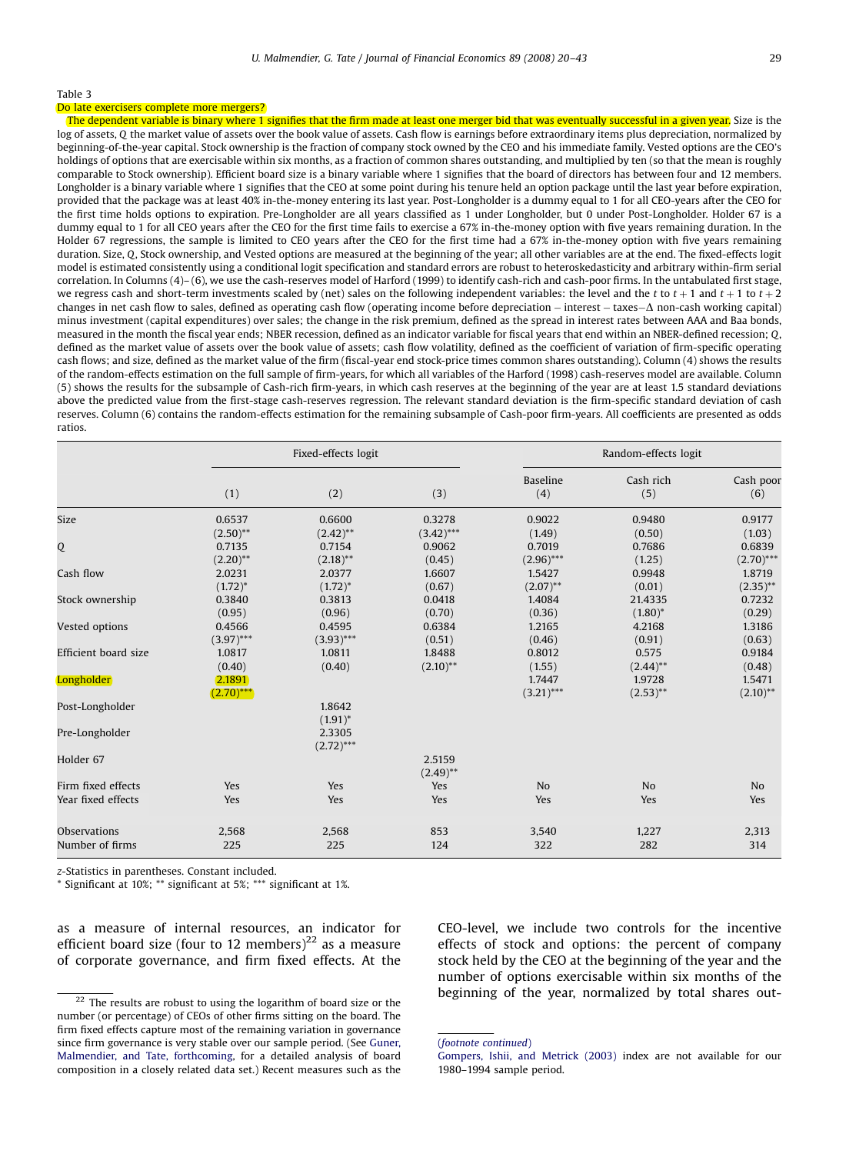# <span id="page-9-0"></span>Do late exercisers complete more mergers?

The dependent variable is binary where 1 signifies that the firm made at least one merger bid that was eventually successful in a given year. Size is the log of assets, Q the market value of assets over the book value of assets. Cash flow is earnings before extraordinary items plus depreciation, normalized by beginning-of-the-year capital. Stock ownership is the fraction of company stock owned by the CEO and his immediate family. Vested options are the CEO's holdings of options that are exercisable within six months, as a fraction of common shares outstanding, and multiplied by ten (so that the mean is roughly comparable to Stock ownership). Efficient board size is a binary variable where 1 signifies that the board of directors has between four and 12 members. Longholder is a binary variable where 1 signifies that the CEO at some point during his tenure held an option package until the last year before expiration, provided that the package was at least 40% in-the-money entering its last year. Post-Longholder is a dummy equal to 1 for all CEO-years after the CEO for the first time holds options to expiration. Pre-Longholder are all years classified as 1 under Longholder, but 0 under Post-Longholder. Holder 67 is a dummy equal to 1 for all CEO years after the CEO for the first time fails to exercise a 67% in-the-money option with five years remaining duration. In the Holder 67 regressions, the sample is limited to CEO years after the CEO for the first time had a 67% in-the-money option with five years remaining duration. Size, Q, Stock ownership, and Vested options are measured at the beginning of the year; all other variables are at the end. The fixed-effects logit model is estimated consistently using a conditional logit specification and standard errors are robust to heteroskedasticity and arbitrary within-firm serial correlation. In Columns (4)– (6), we use the cash-reserves model of [Harford \(1999\)](#page-22-0) to identify cash-rich and cash-poor firms. In the untabulated first stage, we regress cash and short-term investments scaled by (net) sales on the following independent variables: the level and the t to  $t + 1$  and  $t + 1$  to  $t + 2$ changes in net cash flow to sales, defined as operating cash flow (operating income before depreciation – interest – taxes– $\Delta$  non-cash working capital) minus investment (capital expenditures) over sales; the change in the risk premium, defined as the spread in interest rates between AAA and Baa bonds, measured in the month the fiscal year ends; NBER recession, defined as an indicator variable for fiscal years that end within an NBER-defined recession; Q, defined as the market value of assets over the book value of assets; cash flow volatility, defined as the coefficient of variation of firm-specific operating cash flows; and size, defined as the market value of the firm (fiscal-year end stock-price times common shares outstanding). Column (4) shows the results of the random-effects estimation on the full sample of firm-years, for which all variables of the Harford (1998) cash-reserves model are available. Column (5) shows the results for the subsample of Cash-rich firm-years, in which cash reserves at the beginning of the year are at least 1.5 standard deviations above the predicted value from the first-stage cash-reserves regression. The relevant standard deviation is the firm-specific standard deviation of cash reserves. Column (6) contains the random-effects estimation for the remaining subsample of Cash-poor firm-years. All coefficients are presented as odds ratios.

|                      |              | Fixed-effects logit |                       |                 | Random-effects logit |                  |  |  |
|----------------------|--------------|---------------------|-----------------------|-----------------|----------------------|------------------|--|--|
|                      | (1)          | (2)                 | (3)                   | Baseline<br>(4) | Cash rich<br>(5)     | Cash poor<br>(6) |  |  |
| Size                 | 0.6537       | 0.6600              | 0.3278                | 0.9022          | 0.9480               | 0.9177           |  |  |
|                      | $(2.50)$ **  | $(2.42)$ **         | $(3.42)$ ***          | (1.49)          | (0.50)               | (1.03)           |  |  |
| Q                    | 0.7135       | 0.7154              | 0.9062                | 0.7019          | 0.7686               | 0.6839           |  |  |
|                      | $(2.20)$ **  | $(2.18)$ **         | (0.45)                | $(2.96)$ ***    | (1.25)               | $(2.70)$ ***     |  |  |
| Cash flow            | 2.0231       | 2.0377              | 1.6607                | 1.5427          | 0.9948               | 1.8719           |  |  |
|                      | $(1.72)^*$   | $(1.72)^{*}$        | (0.67)                | $(2.07)$ **     | (0.01)               | $(2.35)$ **      |  |  |
| Stock ownership      | 0.3840       | 0.3813              | 0.0418                | 1.4084          | 21.4335              | 0.7232           |  |  |
|                      | (0.95)       | (0.96)              | (0.70)                | (0.36)          | $(1.80)^{*}$         | (0.29)           |  |  |
| Vested options       | 0.4566       | 0.4595              | 0.6384                | 1.2165          | 4.2168               | 1.3186           |  |  |
|                      | $(3.97)$ *** | $(3.93)$ ***        | (0.51)                | (0.46)          | (0.91)               | (0.63)           |  |  |
| Efficient board size | 1.0817       | 1.0811              | 1.8488                | 0.8012          | 0.575                | 0.9184           |  |  |
|                      | (0.40)       | (0.40)              | $(2.10)$ **           | (1.55)          | $(2.44)$ **          | (0.48)           |  |  |
| Longholder           | 2.1891       |                     |                       | 1.7447          | 1.9728               | 1.5471           |  |  |
|                      | $(2.70)$ *** |                     |                       | $(3.21)$ ***    | $(2.53)$ **          | $(2.10)$ **      |  |  |
| Post-Longholder      |              | 1.8642              |                       |                 |                      |                  |  |  |
|                      |              | $(1.91)^*$          |                       |                 |                      |                  |  |  |
| Pre-Longholder       |              | 2.3305              |                       |                 |                      |                  |  |  |
|                      |              | $(2.72)$ ***        |                       |                 |                      |                  |  |  |
| Holder 67            |              |                     | 2.5159<br>$(2.49)$ ** |                 |                      |                  |  |  |
| Firm fixed effects   | Yes          | Yes                 | Yes                   | N <sub>o</sub>  | N <sub>o</sub>       | N <sub>o</sub>   |  |  |
| Year fixed effects   | Yes          | Yes                 | Yes                   | Yes             | Yes                  | Yes              |  |  |
| <b>Observations</b>  | 2,568        | 2,568               | 853                   | 3,540           | 1,227                | 2,313            |  |  |
| Number of firms      | 225          | 225                 | 124                   | 322             | 282                  | 314              |  |  |

z-Statistics in parentheses. Constant included.

\* Significant at 10%; \*\* significant at 5%; \*\*\* significant at 1%.

as a measure of internal resources, an indicator for efficient board size (four to 12 members)<sup>22</sup> as a measure of corporate governance, and firm fixed effects. At the

CEO-level, we include two controls for the incentive effects of stock and options: the percent of company stock held by the CEO at the beginning of the year and the number of options exercisable within six months of the beginning of the year, normalized by total shares out-

<sup>&</sup>lt;sup>22</sup> The results are robust to using the logarithm of board size or the number (or percentage) of CEOs of other firms sitting on the board. The firm fixed effects capture most of the remaining variation in governance since firm governance is very stable over our sample period. (See [Guner,](#page-22-0) [Malmendier, and Tate, forthcoming,](#page-22-0) for a detailed analysis of board composition in a closely related data set.) Recent measures such as the

<sup>(</sup>[footnote continued](#page-22-0))

[Gompers, Ishii, and Metrick \(2003\)](#page-22-0) index are not available for our 1980–1994 sample period.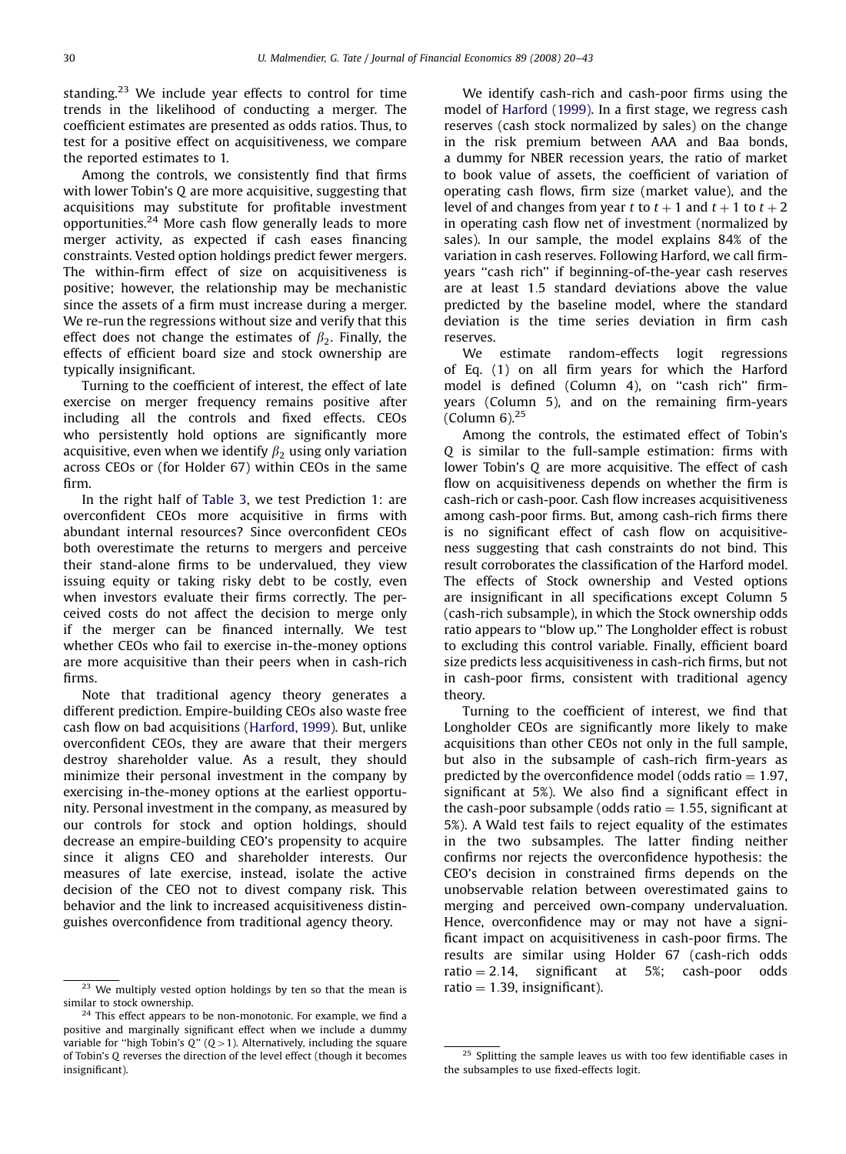standing.<sup>23</sup> We include year effects to control for time trends in the likelihood of conducting a merger. The coefficient estimates are presented as odds ratios. Thus, to test for a positive effect on acquisitiveness, we compare the reported estimates to 1.

Among the controls, we consistently find that firms with lower Tobin's Q are more acquisitive, suggesting that acquisitions may substitute for profitable investment opportunities.<sup>24</sup> More cash flow generally leads to more merger activity, as expected if cash eases financing constraints. Vested option holdings predict fewer mergers. The within-firm effect of size on acquisitiveness is positive; however, the relationship may be mechanistic since the assets of a firm must increase during a merger. We re-run the regressions without size and verify that this effect does not change the estimates of  $\beta_2$ . Finally, the effects of efficient board size and stock ownership are typically insignificant.

Turning to the coefficient of interest, the effect of late exercise on merger frequency remains positive after including all the controls and fixed effects. CEOs who persistently hold options are significantly more acquisitive, even when we identify  $\beta_2$  using only variation across CEOs or (for Holder 67) within CEOs in the same firm.

In the right half of [Table 3,](#page-9-0) we test Prediction 1: are overconfident CEOs more acquisitive in firms with abundant internal resources? Since overconfident CEOs both overestimate the returns to mergers and perceive their stand-alone firms to be undervalued, they view issuing equity or taking risky debt to be costly, even when investors evaluate their firms correctly. The perceived costs do not affect the decision to merge only if the merger can be financed internally. We test whether CEOs who fail to exercise in-the-money options are more acquisitive than their peers when in cash-rich firms.

Note that traditional agency theory generates a different prediction. Empire-building CEOs also waste free cash flow on bad acquisitions [\(Harford, 1999\)](#page-22-0). But, unlike overconfident CEOs, they are aware that their mergers destroy shareholder value. As a result, they should minimize their personal investment in the company by exercising in-the-money options at the earliest opportunity. Personal investment in the company, as measured by our controls for stock and option holdings, should decrease an empire-building CEO's propensity to acquire since it aligns CEO and shareholder interests. Our measures of late exercise, instead, isolate the active decision of the CEO not to divest company risk. This behavior and the link to increased acquisitiveness distinguishes overconfidence from traditional agency theory.

We identify cash-rich and cash-poor firms using the model of [Harford \(1999\)](#page-22-0). In a first stage, we regress cash reserves (cash stock normalized by sales) on the change in the risk premium between AAA and Baa bonds, a dummy for NBER recession years, the ratio of market to book value of assets, the coefficient of variation of operating cash flows, firm size (market value), and the level of and changes from year t to  $t + 1$  and  $t + 1$  to  $t + 2$ in operating cash flow net of investment (normalized by sales). In our sample, the model explains 84% of the variation in cash reserves. Following Harford, we call firmyears ''cash rich'' if beginning-of-the-year cash reserves are at least 1:5 standard deviations above the value predicted by the baseline model, where the standard deviation is the time series deviation in firm cash reserves.

We estimate random-effects logit regressions of Eq. (1) on all firm years for which the Harford model is defined (Column 4), on ''cash rich'' firmyears (Column 5), and on the remaining firm-years (Column  $6$ ).<sup>25</sup>

Among the controls, the estimated effect of Tobin's Q is similar to the full-sample estimation: firms with lower Tobin's Q are more acquisitive. The effect of cash flow on acquisitiveness depends on whether the firm is cash-rich or cash-poor. Cash flow increases acquisitiveness among cash-poor firms. But, among cash-rich firms there is no significant effect of cash flow on acquisitiveness suggesting that cash constraints do not bind. This result corroborates the classification of the Harford model. The effects of Stock ownership and Vested options are insignificant in all specifications except Column 5 (cash-rich subsample), in which the Stock ownership odds ratio appears to ''blow up.'' The Longholder effect is robust to excluding this control variable. Finally, efficient board size predicts less acquisitiveness in cash-rich firms, but not in cash-poor firms, consistent with traditional agency theory.

Turning to the coefficient of interest, we find that Longholder CEOs are significantly more likely to make acquisitions than other CEOs not only in the full sample, but also in the subsample of cash-rich firm-years as predicted by the overconfidence model (odds ratio  $= 1.97$ , significant at 5%). We also find a significant effect in the cash-poor subsample (odds ratio  $= 1.55$ , significant at 5%). A Wald test fails to reject equality of the estimates in the two subsamples. The latter finding neither confirms nor rejects the overconfidence hypothesis: the CEO's decision in constrained firms depends on the unobservable relation between overestimated gains to merging and perceived own-company undervaluation. Hence, overconfidence may or may not have a significant impact on acquisitiveness in cash-poor firms. The results are similar using Holder 67 (cash-rich odds ratio  $= 2.14$ , significant at 5%; cash-poor odds ratio  $= 1.39$ , insignificant).

<sup>&</sup>lt;sup>23</sup> We multiply vested option holdings by ten so that the mean is similar to stock ownership.

 $24$  This effect appears to be non-monotonic. For example, we find a positive and marginally significant effect when we include a dummy variable for "high Tobin's  $Q''(Q>1)$ . Alternatively, including the square of Tobin's Q reverses the direction of the level effect (though it becomes insignificant).

<sup>&</sup>lt;sup>25</sup> Splitting the sample leaves us with too few identifiable cases in the subsamples to use fixed-effects logit.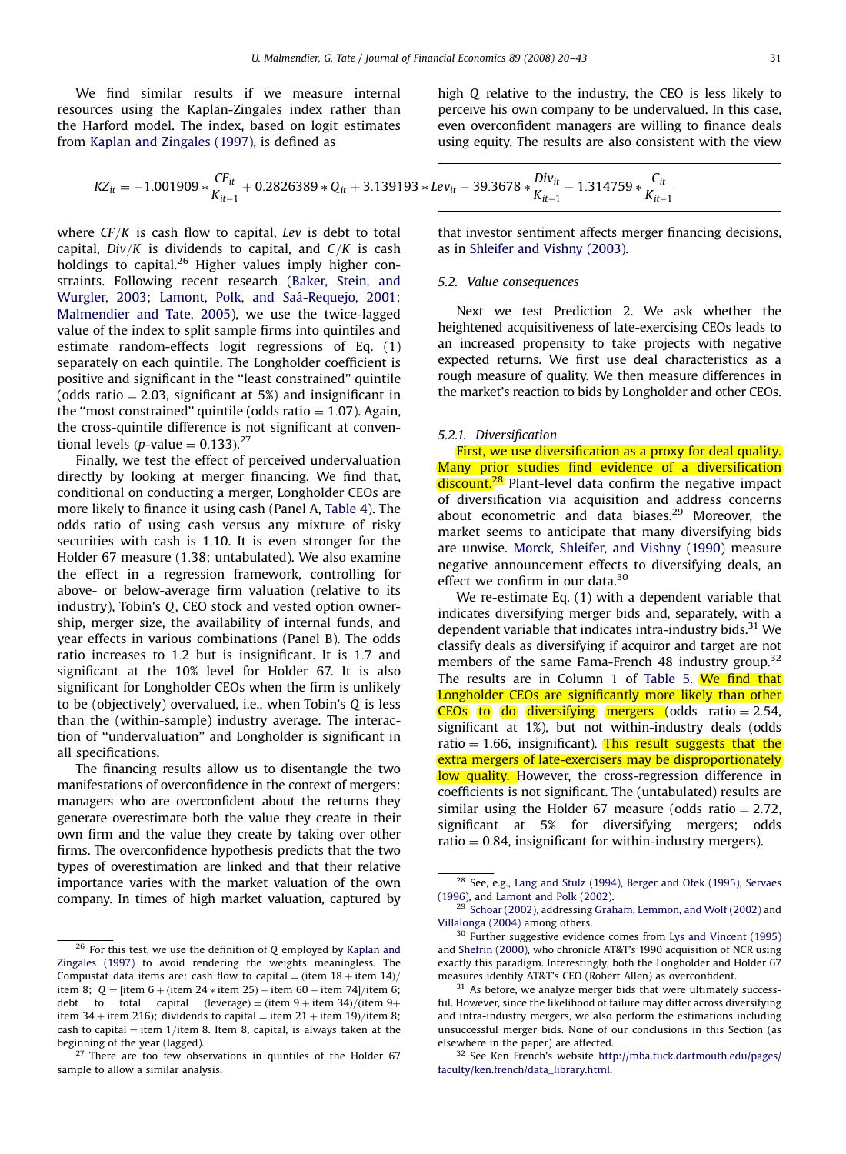We find similar results if we measure internal resources using the Kaplan-Zingales index rather than the Harford model. The index, based on logit estimates from [Kaplan and Zingales \(1997\)](#page-23-0), is defined as

high Q relative to the industry, the CEO is less likely to perceive his own company to be undervalued. In this case, even overconfident managers are willing to finance deals using equity. The results are also consistent with the view

$$
\textit{KZ}_{it} = -1.001909 * \frac{CF_{it}}{K_{it-1}} + 0.2826389 * Q_{it} + 3.139193 * Lev_{it} - 39.3678 * \frac{Div_{it}}{K_{it-1}} - 1.314759 * \frac{C_{it}}{K_{it-1}}
$$

where  $CF/K$  is cash flow to capital, Lev is debt to total capital,  $Div/K$  is dividends to capital, and  $C/K$  is cash holdings to capital.<sup>26</sup> Higher values imply higher constraints. Following recent research ([Baker, Stein, and](#page-22-0) [Wurgler, 2003;](#page-22-0) Lamont, Polk, and Saá-Requejo, 2001; [Malmendier and Tate, 2005\)](#page-23-0), we use the twice-lagged value of the index to split sample firms into quintiles and estimate random-effects logit regressions of Eq. (1) separately on each quintile. The Longholder coefficient is positive and significant in the ''least constrained'' quintile (odds ratio  $= 2.03$ , significant at 5%) and insignificant in the "most constrained" quintile (odds ratio  $= 1.07$ ). Again, the cross-quintile difference is not significant at conventional levels (p-value  $= 0.133$ ).<sup>27</sup>

Finally, we test the effect of perceived undervaluation directly by looking at merger financing. We find that, conditional on conducting a merger, Longholder CEOs are more likely to finance it using cash (Panel A, [Table 4\)](#page-12-0). The odds ratio of using cash versus any mixture of risky securities with cash is 1.10. It is even stronger for the Holder 67 measure (1:38; untabulated). We also examine the effect in a regression framework, controlling for above- or below-average firm valuation (relative to its industry), Tobin's Q, CEO stock and vested option ownership, merger size, the availability of internal funds, and year effects in various combinations (Panel B). The odds ratio increases to 1:2 but is insignificant. It is 1:7 and significant at the 10% level for Holder 67. It is also significant for Longholder CEOs when the firm is unlikely to be (objectively) overvalued, i.e., when Tobin's Q is less than the (within-sample) industry average. The interaction of ''undervaluation'' and Longholder is significant in all specifications.

The financing results allow us to disentangle the two manifestations of overconfidence in the context of mergers: managers who are overconfident about the returns they generate overestimate both the value they create in their own firm and the value they create by taking over other firms. The overconfidence hypothesis predicts that the two types of overestimation are linked and that their relative importance varies with the market valuation of the own company. In times of high market valuation, captured by that investor sentiment affects merger financing decisions, as in [Shleifer and Vishny \(2003\).](#page-23-0)

## 5.2. Value consequences

Next we test Prediction 2. We ask whether the heightened acquisitiveness of late-exercising CEOs leads to an increased propensity to take projects with negative expected returns. We first use deal characteristics as a rough measure of quality. We then measure differences in the market's reaction to bids by Longholder and other CEOs.

### 5.2.1. Diversification

First, we use diversification as a proxy for deal quality. Many prior studies find evidence of a diversification discount.<sup>28</sup> Plant-level data confirm the negative impact of diversification via acquisition and address concerns about econometric and data biases.<sup>29</sup> Moreover, the market seems to anticipate that many diversifying bids are unwise. [Morck, Shleifer, and Vishny \(1990\)](#page-23-0) measure negative announcement effects to diversifying deals, an effect we confirm in our data.<sup>30</sup>

We re-estimate Eq. (1) with a dependent variable that indicates diversifying merger bids and, separately, with a dependent variable that indicates intra-industry bids. $31$  We classify deals as diversifying if acquiror and target are not members of the same Fama-French 48 industry group.<sup>32</sup> The results are in Column 1 of [Table 5](#page-13-0). We find that Longholder CEOs are significantly more likely than other CEOs to do diversifying mergers (odds ratio  $= 2.54$ , significant at 1%), but not within-industry deals (odds ratio  $= 1.66$ , insignificant). This result suggests that the extra mergers of late-exercisers may be disproportionately low quality. However, the cross-regression difference in coefficients is not significant. The (untabulated) results are similar using the Holder 67 measure (odds ratio  $= 2.72$ , significant at 5% for diversifying mergers; odds ratio  $= 0.84$ , insignificant for within-industry mergers).

 $26$  For this test, we use the definition of Q employed by [Kaplan and](#page-23-0) [Zingales \(1997\)](#page-23-0) to avoid rendering the weights meaningless. The Compustat data items are: cash flow to capital = (item  $18 +$ item  $14$ )/ item 8;  $Q =$  [item 6 + (item 24  $\ast$  item 25) – item 60 – item 74]/item 6; debt to total capital (leverage) = (item  $9 +$ item 34)/(item  $9 +$ item 34 + item 216); dividends to capital = item  $21 +$  item 19)/item 8; cash to capital  $=$  item 1/item 8. Item 8, capital, is always taken at the beginning of the year (lagged).

 $27$  There are too few observations in quintiles of the Holder 67 sample to allow a similar analysis.

<sup>28</sup> See, e.g., [Lang and Stulz \(1994\),](#page-23-0) [Berger and Ofek \(1995\)](#page-22-0), [Servaes](#page-23-0) [\(1996\),](#page-23-0) and [Lamont and Polk \(2002\).](#page-23-0)

<sup>&</sup>lt;sup>29</sup> [Schoar \(2002\)](#page-23-0), addressing [Graham, Lemmon, and Wolf \(2002\)](#page-22-0) and [Villalonga \(2004\)](#page-23-0) among others.

<sup>&</sup>lt;sup>30</sup> Further suggestive evidence comes from [Lys and Vincent \(1995\)](#page-23-0) and [Shefrin \(2000\),](#page-23-0) who chronicle AT&T's 1990 acquisition of NCR using exactly this paradigm. Interestingly, both the Longholder and Holder 67 measures identify AT&T's CEO (Robert Allen) as overconfident.

 $31$  As before, we analyze merger bids that were ultimately successful. However, since the likelihood of failure may differ across diversifying and intra-industry mergers, we also perform the estimations including unsuccessful merger bids. None of our conclusions in this Section (as elsewhere in the paper) are affected.

<sup>&</sup>lt;sup>32</sup> See Ken French's website [http://mba.tuck.dartmouth.edu/pages/](http://mba.tuck.dartmouth.edu/pages/faculty/ken.french/data_library.html) [faculty/ken.french/data\\_library.html.](http://mba.tuck.dartmouth.edu/pages/faculty/ken.french/data_library.html)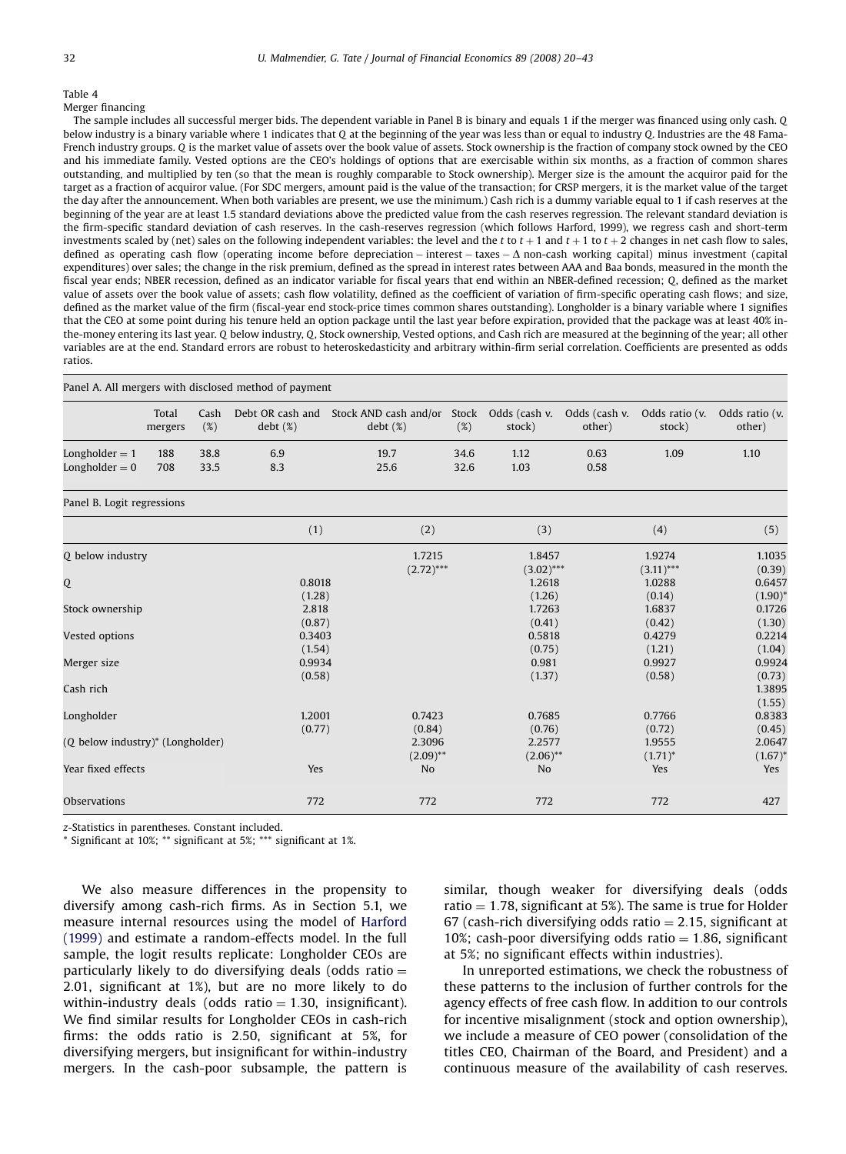#### <span id="page-12-0"></span>Merger financing

The sample includes all successful merger bids. The dependent variable in Panel B is binary and equals 1 if the merger was financed using only cash. Q below industry is a binary variable where 1 indicates that  $Q$  at the beginning of the year was less than or equal to industry  $Q$ . Industries are the 48 Fama-French industry groups. Q is the market value of assets over the book value of assets. Stock ownership is the fraction of company stock owned by the CEO and his immediate family. Vested options are the CEO's holdings of options that are exercisable within six months, as a fraction of common shares outstanding, and multiplied by ten (so that the mean is roughly comparable to Stock ownership). Merger size is the amount the acquiror paid for the target as a fraction of acquiror value. (For SDC mergers, amount paid is the value of the transaction; for CRSP mergers, it is the market value of the target the day after the announcement. When both variables are present, we use the minimum.) Cash rich is a dummy variable equal to 1 if cash reserves at the beginning of the year are at least 1.5 standard deviations above the predicted value from the cash reserves regression. The relevant standard deviation is the firm-specific standard deviation of cash reserves. In the cash-reserves regression (which follows [Harford, 1999\)](#page-22-0), we regress cash and short-term investments scaled by (net) sales on the following independent variables: the level and the t to  $t + 1$  and  $t + 1$  to  $t + 2$  changes in net cash flow to sales, defined as operating cash flow (operating income before depreciation – interest – taxes –  $\Delta$  non-cash working capital) minus investment (capital expenditures) over sales; the change in the risk premium, defined as the spread in interest rates between AAA and Baa bonds, measured in the month the fiscal year ends; NBER recession, defined as an indicator variable for fiscal years that end within an NBER-defined recession; Q, defined as the market value of assets over the book value of assets; cash flow volatility, defined as the coefficient of variation of firm-specific operating cash flows; and size, defined as the market value of the firm (fiscal-year end stock-price times common shares outstanding). Longholder is a binary variable where 1 signifies that the CEO at some point during his tenure held an option package until the last year before expiration, provided that the package was at least 40% inthe-money entering its last year. Q below industry, Q, Stock ownership, Vested options, and Cash rich are measured at the beginning of the year; all other variables are at the end. Standard errors are robust to heteroskedasticity and arbitrary within-firm serial correlation. Coefficients are presented as odds ratios.

# Panel A. All mergers with disclosed method of payment

|                                  | Total<br>mergers | Cash<br>(%) | Debt OR cash and<br>debt(%) | Stock AND cash and/or Stock<br>debt(%) | (%)  | Odds (cash v.<br>stock) | Odds (cash v.<br>other) | Odds ratio (v.<br>stock) | Odds ratio (v.<br>other) |
|----------------------------------|------------------|-------------|-----------------------------|----------------------------------------|------|-------------------------|-------------------------|--------------------------|--------------------------|
| Longholder $= 1$                 | 188              | 38.8        | 6.9                         | 19.7                                   | 34.6 | 1.12                    | 0.63                    | 1.09                     | 1.10                     |
| Longholder $= 0$                 | 708              | 33.5        | 8.3                         | 25.6                                   | 32.6 | 1.03                    | 0.58                    |                          |                          |
| Panel B. Logit regressions       |                  |             |                             |                                        |      |                         |                         |                          |                          |
|                                  |                  |             | (1)                         | (2)                                    |      | (3)                     |                         | (4)                      | (5)                      |
| Q below industry                 |                  |             |                             | 1.7215                                 |      | 1.8457                  |                         | 1.9274                   | 1.1035                   |
|                                  |                  |             |                             | $(2.72)$ ***                           |      | $(3.02)$ ***            |                         | $(3.11)$ ***             | (0.39)                   |
| Q                                |                  |             | 0.8018                      |                                        |      | 1.2618                  |                         | 1.0288                   | 0.6457                   |
|                                  |                  |             | (1.28)                      |                                        |      | (1.26)                  |                         | (0.14)                   | $(1.90)^{*}$             |
| Stock ownership                  |                  |             | 2.818                       |                                        |      | 1.7263                  |                         | 1.6837                   | 0.1726                   |
|                                  |                  |             | (0.87)                      |                                        |      | (0.41)                  |                         | (0.42)                   | (1.30)                   |
| Vested options                   |                  |             | 0.3403                      |                                        |      | 0.5818                  |                         | 0.4279                   | 0.2214                   |
|                                  |                  |             | (1.54)                      |                                        |      | (0.75)                  |                         | (1.21)                   | (1.04)                   |
| Merger size                      |                  |             | 0.9934                      |                                        |      | 0.981                   |                         | 0.9927                   | 0.9924                   |
|                                  |                  |             | (0.58)                      |                                        |      | (1.37)                  |                         | (0.58)                   | (0.73)                   |
| Cash rich                        |                  |             |                             |                                        |      |                         |                         |                          | 1.3895                   |
|                                  |                  |             |                             |                                        |      |                         |                         |                          | (1.55)                   |
| Longholder                       |                  |             | 1.2001                      | 0.7423                                 |      | 0.7685                  |                         | 0.7766                   | 0.8383                   |
|                                  |                  |             | (0.77)                      | (0.84)                                 |      | (0.76)                  |                         | (0.72)                   | (0.45)                   |
| (Q below industry)* (Longholder) |                  |             |                             | 2.3096                                 |      | 2.2577                  |                         | 1.9555                   | 2.0647                   |
|                                  |                  |             |                             | $(2.09)$ **                            |      | $(2.06)$ **             |                         | $(1.71)^*$               | $(1.67)^*$               |
| Year fixed effects               |                  |             | Yes                         | No                                     |      | No                      |                         | Yes                      | Yes                      |
| <b>Observations</b>              |                  |             | 772                         | 772                                    |      | 772                     |                         | 772                      | 427                      |

z-Statistics in parentheses. Constant included.

\* Significant at 10%; \*\* significant at 5%; \*\*\* significant at 1%.

We also measure differences in the propensity to diversify among cash-rich firms. As in Section 5.1, we measure internal resources using the model of [Harford](#page-22-0) [\(1999\)](#page-22-0) and estimate a random-effects model. In the full sample, the logit results replicate: Longholder CEOs are particularly likely to do diversifying deals (odds ratio  $=$ 2:01, significant at 1%), but are no more likely to do within-industry deals (odds ratio  $= 1.30$ , insignificant). We find similar results for Longholder CEOs in cash-rich firms: the odds ratio is 2:50, significant at 5%, for diversifying mergers, but insignificant for within-industry mergers. In the cash-poor subsample, the pattern is similar, though weaker for diversifying deals (odds ratio  $= 1.78$ , significant at 5%). The same is true for Holder 67 (cash-rich diversifying odds ratio  $= 2.15$ , significant at 10%; cash-poor diversifying odds ratio  $= 1.86$ , significant at 5%; no significant effects within industries).

In unreported estimations, we check the robustness of these patterns to the inclusion of further controls for the agency effects of free cash flow. In addition to our controls for incentive misalignment (stock and option ownership), we include a measure of CEO power (consolidation of the titles CEO, Chairman of the Board, and President) and a continuous measure of the availability of cash reserves.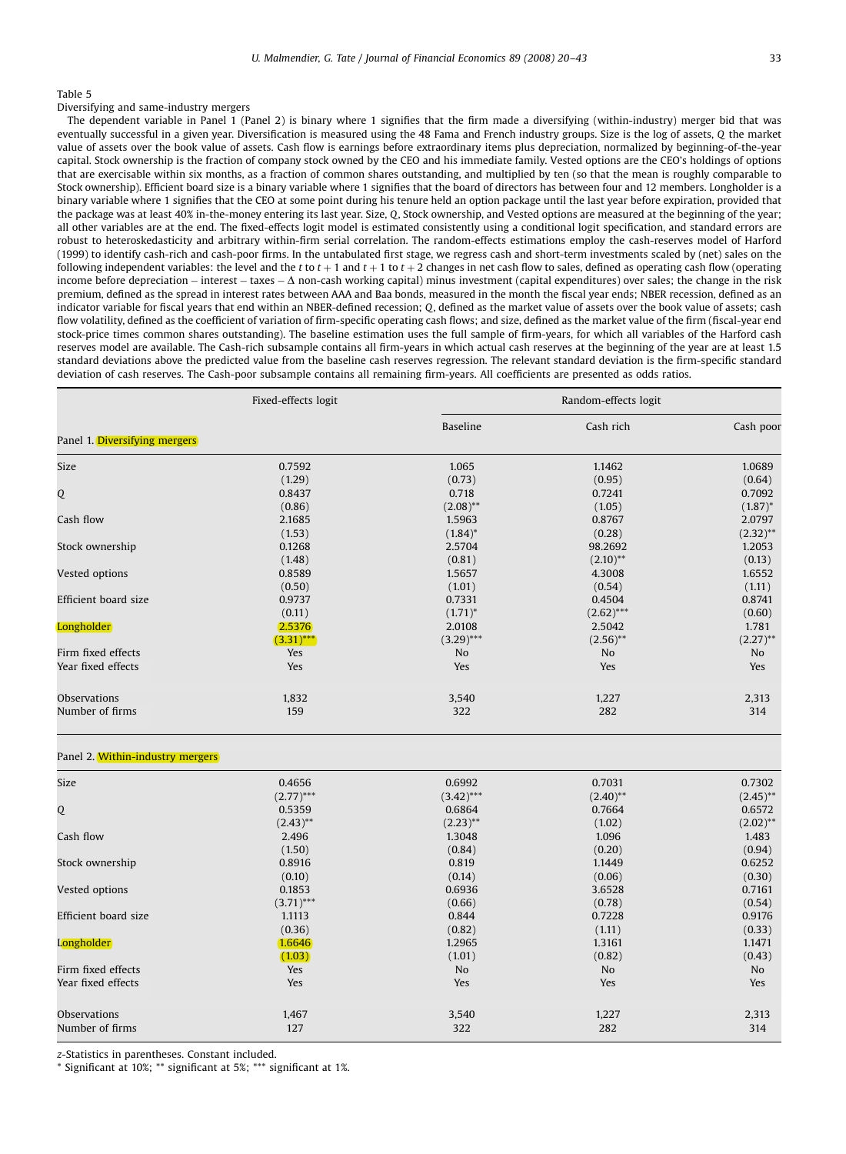<span id="page-13-0"></span>Diversifying and same-industry mergers

The dependent variable in Panel 1 (Panel 2) is binary where 1 signifies that the firm made a diversifying (within-industry) merger bid that was eventually successful in a given year. Diversification is measured using the 48 Fama and French industry groups. Size is the log of assets, Q the market value of assets over the book value of assets. Cash flow is earnings before extraordinary items plus depreciation, normalized by beginning-of-the-year capital. Stock ownership is the fraction of company stock owned by the CEO and his immediate family. Vested options are the CEO's holdings of options that are exercisable within six months, as a fraction of common shares outstanding, and multiplied by ten (so that the mean is roughly comparable to Stock ownership). Efficient board size is a binary variable where 1 signifies that the board of directors has between four and 12 members. Longholder is a binary variable where 1 signifies that the CEO at some point during his tenure held an option package until the last year before expiration, provided that the package was at least 40% in-the-money entering its last year. Size, Q, Stock ownership, and Vested options are measured at the beginning of the year; all other variables are at the end. The fixed-effects logit model is estimated consistently using a conditional logit specification, and standard errors are robust to heteroskedasticity and arbitrary within-firm serial correlation. The random-effects estimations employ the cash-reserves model of [Harford](#page-22-0) [\(1999\)](#page-22-0) to identify cash-rich and cash-poor firms. In the untabulated first stage, we regress cash and short-term investments scaled by (net) sales on the following independent variables: the level and the t to  $t + 1$  and  $t + 1$  to  $t + 2$  changes in net cash flow to sales, defined as operating cash flow (operating income before depreciation – interest – taxes –  $\Delta$  non-cash working capital) minus investment (capital expenditures) over sales; the change in the risk premium, defined as the spread in interest rates between AAA and Baa bonds, measured in the month the fiscal year ends; NBER recession, defined as an indicator variable for fiscal years that end within an NBER-defined recession; Q, defined as the market value of assets over the book value of assets; cash flow volatility, defined as the coefficient of variation of firm-specific operating cash flows; and size, defined as the market value of the firm (fiscal-year end stock-price times common shares outstanding). The baseline estimation uses the full sample of firm-years, for which all variables of the Harford cash reserves model are available. The Cash-rich subsample contains all firm-years in which actual cash reserves at the beginning of the year are at least 1.5 standard deviations above the predicted value from the baseline cash reserves regression. The relevant standard deviation is the firm-specific standard deviation of cash reserves. The Cash-poor subsample contains all remaining firm-years. All coefficients are presented as odds ratios.

|                               | Fixed-effects logit |                | Random-effects logit |                |  |  |
|-------------------------------|---------------------|----------------|----------------------|----------------|--|--|
|                               |                     | Baseline       | Cash rich            | Cash poor      |  |  |
| Panel 1. Diversifying mergers |                     |                |                      |                |  |  |
| Size                          | 0.7592              | 1.065          | 1.1462               | 1.0689         |  |  |
|                               | (1.29)              | (0.73)         | (0.95)               | (0.64)         |  |  |
| Q                             | 0.8437              | 0.718          | 0.7241               | 0.7092         |  |  |
|                               | (0.86)              | $(2.08)$ **    | (1.05)               | $(1.87)^*$     |  |  |
| Cash flow                     | 2.1685              | 1.5963         | 0.8767               | 2.0797         |  |  |
|                               | (1.53)              | $(1.84)^*$     | (0.28)               | $(2.32)$ **    |  |  |
| Stock ownership               | 0.1268              | 2.5704         | 98.2692              | 1.2053         |  |  |
|                               | (1.48)              | (0.81)         | $(2.10)$ **          | (0.13)         |  |  |
| Vested options                | 0.8589              | 1.5657         | 4.3008               | 1.6552         |  |  |
|                               | (0.50)              | (1.01)         | (0.54)               | (1.11)         |  |  |
| Efficient board size          | 0.9737              | 0.7331         | 0.4504               | 0.8741         |  |  |
|                               | (0.11)              | $(1.71)^*$     | $(2.62)$ ***         | (0.60)         |  |  |
| Longholder                    | 2.5376              | 2.0108         | 2.5042               | 1.781          |  |  |
|                               | $(3.31)$ ***        | $(3.29)$ ***   | $(2.56)$ **          | $(2.27)$ **    |  |  |
| Firm fixed effects            | Yes                 | N <sub>o</sub> | N <sub>o</sub>       | N <sub>o</sub> |  |  |
| Year fixed effects            | Yes                 | Yes            | Yes                  | Yes            |  |  |
| Observations                  | 1,832               | 3,540          | 1,227                | 2,313          |  |  |
| Number of firms               | 159                 | 322            | 282                  | 314            |  |  |

#### Panel 2. Within-industry mergers

| Size                 | 0.4656       | 0.6992         | 0.7031      | 0.7302      |
|----------------------|--------------|----------------|-------------|-------------|
|                      | $(2.77)$ *** | $(3.42)$ ***   | $(2.40)$ ** | $(2.45)$ ** |
| Q                    | 0.5359       | 0.6864         | 0.7664      | 0.6572      |
|                      | $(2.43)$ **  | $(2.23)$ **    | (1.02)      | $(2.02)$ ** |
| Cash flow            | 2.496        | 1.3048         | 1.096       | 1.483       |
|                      | (1.50)       | (0.84)         | (0.20)      | (0.94)      |
| Stock ownership      | 0.8916       | 0.819          | 1.1449      | 0.6252      |
|                      | (0.10)       | (0.14)         | (0.06)      | (0.30)      |
| Vested options       | 0.1853       | 0.6936         | 3.6528      | 0.7161      |
|                      | $(3.71)$ *** | (0.66)         | (0.78)      | (0.54)      |
| Efficient board size | 1.1113       | 0.844          | 0.7228      | 0.9176      |
|                      | (0.36)       | (0.82)         | (1.11)      | (0.33)      |
| Longholder           | 1.6646       | 1.2965         | 1.3161      | 1.1471      |
|                      | (1.03)       | (1.01)         | (0.82)      | (0.43)      |
| Firm fixed effects   | <b>Yes</b>   | N <sub>o</sub> | No          | No          |
| Year fixed effects   | Yes          | Yes            | Yes         | Yes         |
|                      |              |                |             |             |
| Observations         | 1,467        | 3,540          | 1,227       | 2,313       |
| Number of firms      | 127          | 322            | 282         | 314         |

z-Statistics in parentheses. Constant included.

\* Significant at 10%; \*\* significant at 5%; \*\*\* significant at 1%.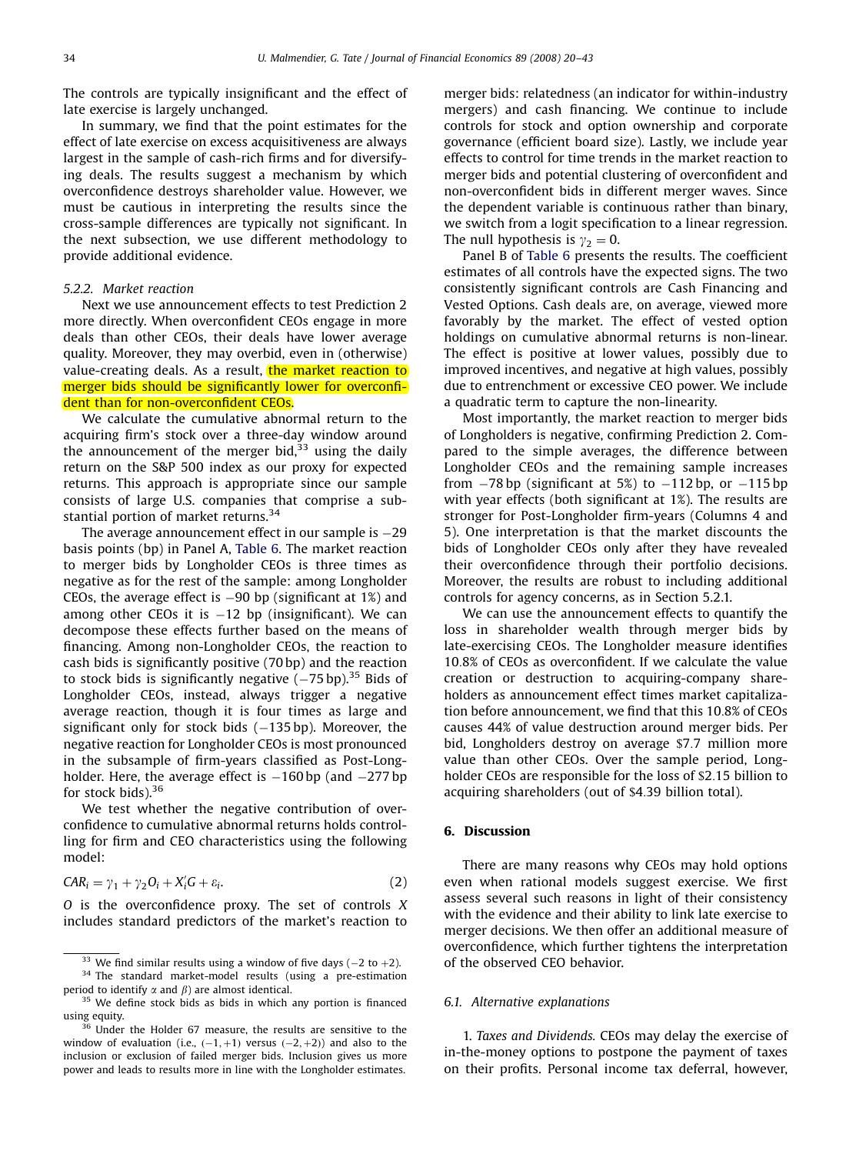The controls are typically insignificant and the effect of late exercise is largely unchanged.

In summary, we find that the point estimates for the effect of late exercise on excess acquisitiveness are always largest in the sample of cash-rich firms and for diversifying deals. The results suggest a mechanism by which overconfidence destroys shareholder value. However, we must be cautious in interpreting the results since the cross-sample differences are typically not significant. In the next subsection, we use different methodology to provide additional evidence.

# 5.2.2. Market reaction

Next we use announcement effects to test Prediction 2 more directly. When overconfident CEOs engage in more deals than other CEOs, their deals have lower average quality. Moreover, they may overbid, even in (otherwise) value-creating deals. As a result, the market reaction to merger bids should be significantly lower for overconfident than for non-overconfident CEOs.

We calculate the cumulative abnormal return to the acquiring firm's stock over a three-day window around the announcement of the merger bid, $33$  using the daily return on the S&P 500 index as our proxy for expected returns. This approach is appropriate since our sample consists of large U.S. companies that comprise a substantial portion of market returns.<sup>34</sup>

The average announcement effect in our sample is  $-29\,$ basis points (bp) in Panel A, [Table 6](#page-15-0). The market reaction to merger bids by Longholder CEOs is three times as negative as for the rest of the sample: among Longholder CEOs, the average effect is  $-90$  bp (significant at  $1\%$ ) and among other CEOs it is  $-12$  bp (insignificant). We can decompose these effects further based on the means of financing. Among non-Longholder CEOs, the reaction to cash bids is significantly positive (70 bp) and the reaction to stock bids is significantly negative  $(-75$  bp).<sup>35</sup> Bids of Longholder CEOs, instead, always trigger a negative average reaction, though it is four times as large and significant only for stock bids (-135 bp). Moreover, the negative reaction for Longholder CEOs is most pronounced in the subsample of firm-years classified as Post-Longholder. Here, the average effect is  $-160$  bp (and  $-277$  bp for stock bids). $36$ 

We test whether the negative contribution of overconfidence to cumulative abnormal returns holds controlling for firm and CEO characteristics using the following model:

$$
CAR_i = \gamma_1 + \gamma_2 O_i + X_i' G + \varepsilon_i.
$$
 (2)

O is the overconfidence proxy. The set of controls X includes standard predictors of the market's reaction to

<sup>34</sup> The standard market-model results (using a pre-estimation

merger bids: relatedness (an indicator for within-industry mergers) and cash financing. We continue to include controls for stock and option ownership and corporate governance (efficient board size). Lastly, we include year effects to control for time trends in the market reaction to merger bids and potential clustering of overconfident and non-overconfident bids in different merger waves. Since the dependent variable is continuous rather than binary, we switch from a logit specification to a linear regression. The null hypothesis is  $\gamma_2 = 0$ .

Panel B of [Table 6](#page-15-0) presents the results. The coefficient estimates of all controls have the expected signs. The two consistently significant controls are Cash Financing and Vested Options. Cash deals are, on average, viewed more favorably by the market. The effect of vested option holdings on cumulative abnormal returns is non-linear. The effect is positive at lower values, possibly due to improved incentives, and negative at high values, possibly due to entrenchment or excessive CEO power. We include a quadratic term to capture the non-linearity.

Most importantly, the market reaction to merger bids of Longholders is negative, confirming Prediction 2. Compared to the simple averages, the difference between Longholder CEOs and the remaining sample increases from  $-78$  bp (significant at 5%) to  $-112$  bp, or  $-115$  bp with year effects (both significant at 1%). The results are stronger for Post-Longholder firm-years (Columns 4 and 5). One interpretation is that the market discounts the bids of Longholder CEOs only after they have revealed their overconfidence through their portfolio decisions. Moreover, the results are robust to including additional controls for agency concerns, as in Section 5.2.1.

We can use the announcement effects to quantify the loss in shareholder wealth through merger bids by late-exercising CEOs. The Longholder measure identifies 10:8% of CEOs as overconfident. If we calculate the value creation or destruction to acquiring-company shareholders as announcement effect times market capitalization before announcement, we find that this 10:8% of CEOs causes 44% of value destruction around merger bids. Per bid, Longholders destroy on average \$7:7 million more value than other CEOs. Over the sample period, Longholder CEOs are responsible for the loss of \$2:15 billion to acquiring shareholders (out of \$4:39 billion total).

## 6. Discussion

There are many reasons why CEOs may hold options even when rational models suggest exercise. We first assess several such reasons in light of their consistency with the evidence and their ability to link late exercise to merger decisions. We then offer an additional measure of overconfidence, which further tightens the interpretation of the observed CEO behavior.

#### 6.1. Alternative explanations

1. Taxes and Dividends. CEOs may delay the exercise of in-the-money options to postpone the payment of taxes on their profits. Personal income tax deferral, however,

<sup>&</sup>lt;sup>33</sup> We find similar results using a window of five days  $(-2 \text{ to } +2)$ .

period to identify  $\alpha$  and  $\beta$ ) are almost identical. <sup>35</sup> We define stock bids as bids in which any portion is financed using equity.

Under the Holder 67 measure, the results are sensitive to the window of evaluation (i.e.,  $(-1, +1)$  versus  $(-2, +2)$ ) and also to the inclusion or exclusion of failed merger bids. Inclusion gives us more power and leads to results more in line with the Longholder estimates.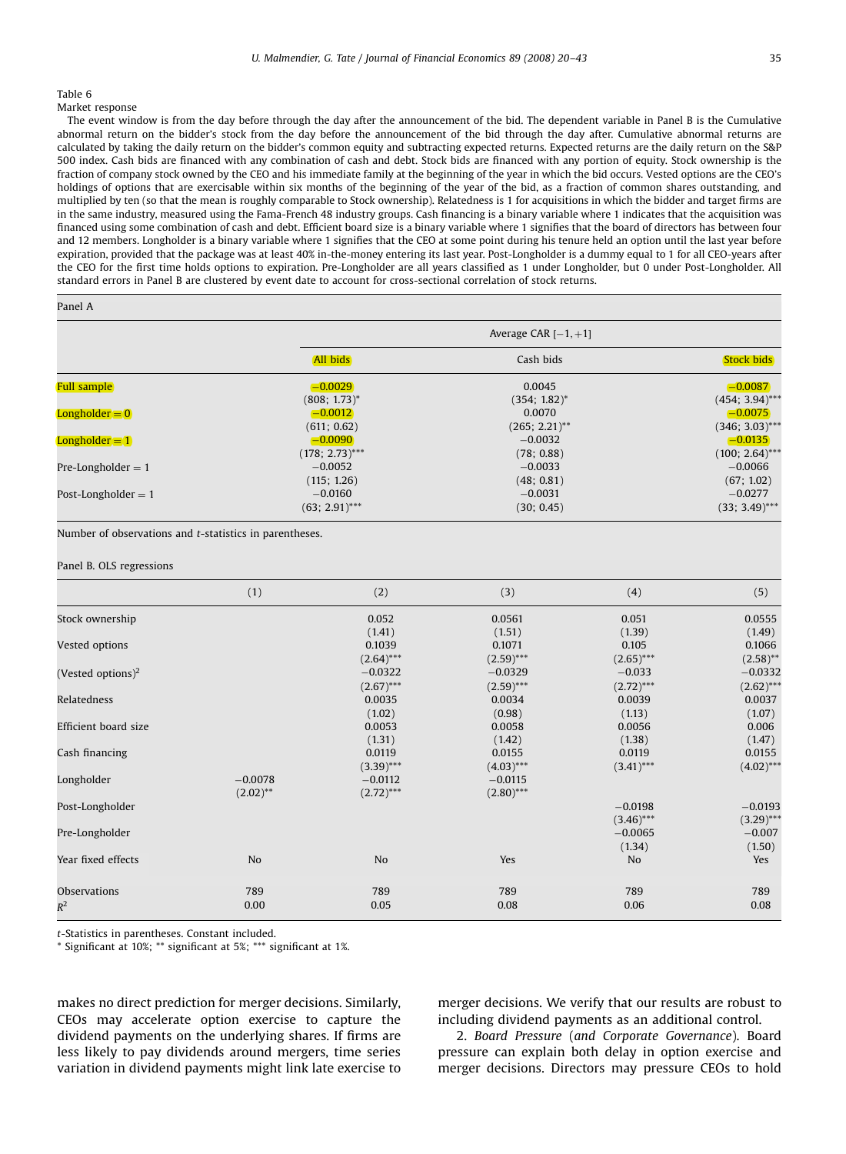Panel A

## <span id="page-15-0"></span>Market response

The event window is from the day before through the day after the announcement of the bid. The dependent variable in Panel B is the Cumulative abnormal return on the bidder's stock from the day before the announcement of the bid through the day after. Cumulative abnormal returns are calculated by taking the daily return on the bidder's common equity and subtracting expected returns. Expected returns are the daily return on the S&P 500 index. Cash bids are financed with any combination of cash and debt. Stock bids are financed with any portion of equity. Stock ownership is the fraction of company stock owned by the CEO and his immediate family at the beginning of the year in which the bid occurs. Vested options are the CEO's holdings of options that are exercisable within six months of the beginning of the year of the bid, as a fraction of common shares outstanding, and multiplied by ten (so that the mean is roughly comparable to Stock ownership). Relatedness is 1 for acquisitions in which the bidder and target firms are in the same industry, measured using the Fama-French 48 industry groups. Cash financing is a binary variable where 1 indicates that the acquisition was financed using some combination of cash and debt. Efficient board size is a binary variable where 1 signifies that the board of directors has between four and 12 members. Longholder is a binary variable where 1 signifies that the CEO at some point during his tenure held an option until the last year before expiration, provided that the package was at least 40% in-the-money entering its last year. Post-Longholder is a dummy equal to 1 for all CEO-years after the CEO for the first time holds options to expiration. Pre-Longholder are all years classified as 1 under Longholder, but 0 under Post-Longholder. All standard errors in Panel B are clustered by event date to account for cross-sectional correlation of stock returns.

|                       | Average CAR $[-1, +1]$ |                  |                   |  |  |
|-----------------------|------------------------|------------------|-------------------|--|--|
|                       | All bids               | Cash bids        | <b>Stock bids</b> |  |  |
| <b>Full sample</b>    | $-0.0029$              | 0.0045           | $-0.0087$         |  |  |
|                       | $(808; 1.73)^*$        | $(354; 1.82)^*$  | $(454; 3.94)$ *** |  |  |
| $Longholder = 0$      | $-0.0012$              | 0.0070           | $-0.0075$         |  |  |
|                       | (611; 0.62)            | $(265; 2.21)$ ** | $(346; 3.03)$ *** |  |  |
| Longholder $= 1$      | $-0.0090$              | $-0.0032$        | $-0.0135$         |  |  |
|                       | $(178; 2.73)$ ***      | (78; 0.88)       | $(100; 2.64)$ *** |  |  |
| Pre-Longholder $= 1$  | $-0.0052$              | $-0.0033$        | $-0.0066$         |  |  |
|                       | (115; 1.26)            | (48; 0.81)       | (67; 1.02)        |  |  |
| Post-Longholder $= 1$ | $-0.0160$              | $-0.0031$        | $-0.0277$         |  |  |
|                       | $(63; 2.91)$ ***       | (30; 0.45)       | $(33; 3.49)$ ***  |  |  |

Number of observations and t-statistics in parentheses.

#### Panel B. OLS regressions

|                               | (1)         | (2)          | (3)          | (4)          | (5)          |
|-------------------------------|-------------|--------------|--------------|--------------|--------------|
| Stock ownership               |             | 0.052        | 0.0561       | 0.051        | 0.0555       |
|                               |             | (1.41)       | (1.51)       | (1.39)       | (1.49)       |
| Vested options                |             | 0.1039       | 0.1071       | 0.105        | 0.1066       |
|                               |             | $(2.64)$ *** | $(2.59)$ *** | $(2.65)$ *** | $(2.58)$ **  |
| (Vested options) <sup>2</sup> |             | $-0.0322$    | $-0.0329$    | $-0.033$     | $-0.0332$    |
|                               |             | $(2.67)$ *** | $(2.59)$ *** | $(2.72)$ *** | $(2.62)$ *** |
| Relatedness                   |             | 0.0035       | 0.0034       | 0.0039       | 0.0037       |
|                               |             | (1.02)       | (0.98)       | (1.13)       | (1.07)       |
| Efficient board size          |             | 0.0053       | 0.0058       | 0.0056       | 0.006        |
|                               |             | (1.31)       | (1.42)       | (1.38)       | (1.47)       |
| Cash financing                |             | 0.0119       | 0.0155       | 0.0119       | 0.0155       |
|                               |             | $(3.39)$ *** | $(4.03)$ *** | $(3.41)$ *** | $(4.02)$ *** |
| Longholder                    | $-0.0078$   | $-0.0112$    | $-0.0115$    |              |              |
|                               | $(2.02)$ ** | $(2.72)$ *** | $(2.80)$ *** |              |              |
| Post-Longholder               |             |              |              | $-0.0198$    | $-0.0193$    |
|                               |             |              |              | $(3.46)$ *** | $(3.29)$ *** |
| Pre-Longholder                |             |              |              | $-0.0065$    | $-0.007$     |
|                               |             |              |              | (1.34)       | (1.50)       |
| Year fixed effects            | No          | No           | Yes          | No           | Yes          |
| Observations                  | 789         | 789          | 789          | 789          | 789          |
| $R^2$                         | 0.00        | 0.05         | 0.08         | 0.06         | 0.08         |
|                               |             |              |              |              |              |

t-Statistics in parentheses. Constant included.

\* Significant at 10%; \*\* significant at 5%; \*\*\* significant at 1%.

makes no direct prediction for merger decisions. Similarly, CEOs may accelerate option exercise to capture the dividend payments on the underlying shares. If firms are less likely to pay dividends around mergers, time series variation in dividend payments might link late exercise to merger decisions. We verify that our results are robust to including dividend payments as an additional control.

2. Board Pressure (and Corporate Governance). Board pressure can explain both delay in option exercise and merger decisions. Directors may pressure CEOs to hold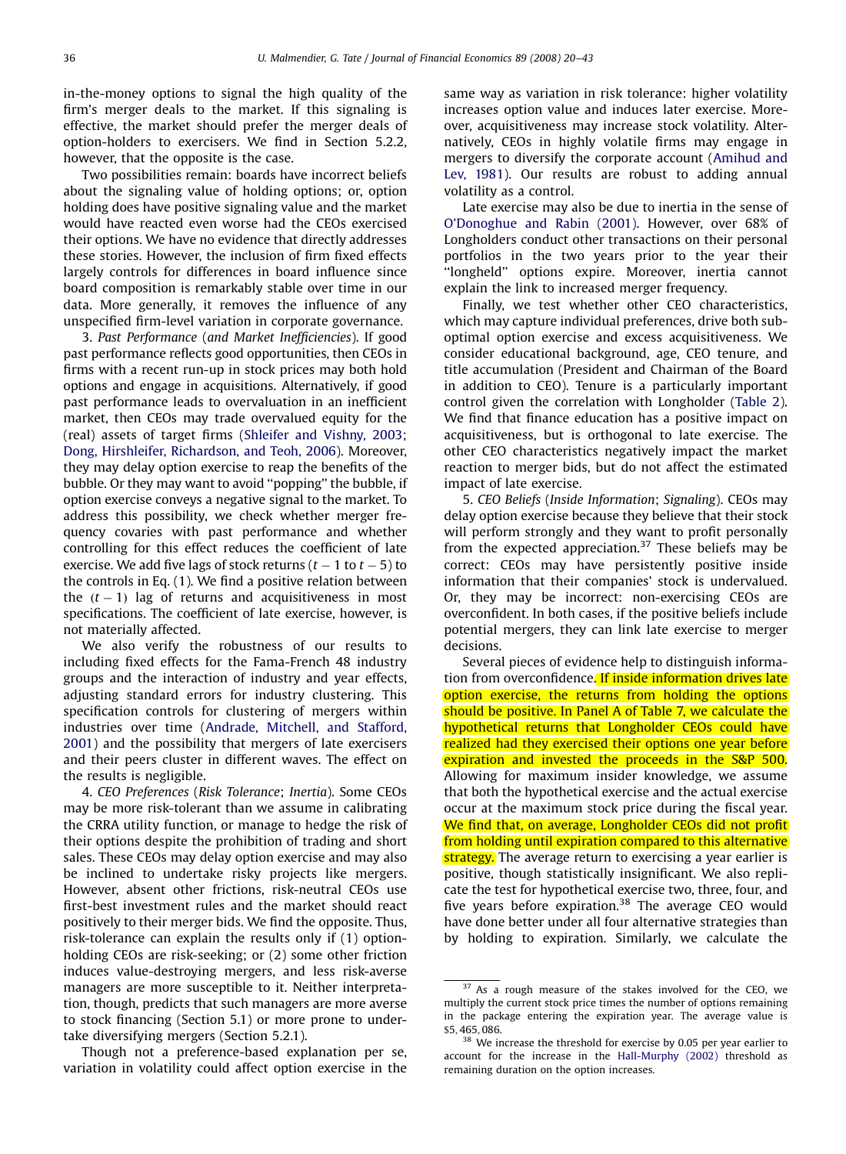in-the-money options to signal the high quality of the firm's merger deals to the market. If this signaling is effective, the market should prefer the merger deals of option-holders to exercisers. We find in Section 5.2.2, however, that the opposite is the case.

Two possibilities remain: boards have incorrect beliefs about the signaling value of holding options; or, option holding does have positive signaling value and the market would have reacted even worse had the CEOs exercised their options. We have no evidence that directly addresses these stories. However, the inclusion of firm fixed effects largely controls for differences in board influence since board composition is remarkably stable over time in our data. More generally, it removes the influence of any unspecified firm-level variation in corporate governance.

3. Past Performance (and Market Inefficiencies). If good past performance reflects good opportunities, then CEOs in firms with a recent run-up in stock prices may both hold options and engage in acquisitions. Alternatively, if good past performance leads to overvaluation in an inefficient market, then CEOs may trade overvalued equity for the (real) assets of target firms [\(Shleifer and Vishny, 2003](#page-23-0); [Dong, Hirshleifer, Richardson, and Teoh, 2006](#page-22-0)). Moreover, they may delay option exercise to reap the benefits of the bubble. Or they may want to avoid ''popping'' the bubble, if option exercise conveys a negative signal to the market. To address this possibility, we check whether merger frequency covaries with past performance and whether controlling for this effect reduces the coefficient of late exercise. We add five lags of stock returns ( $t-1$  to  $t-5$ ) to the controls in Eq. (1). We find a positive relation between the  $(t-1)$  lag of returns and acquisitiveness in most specifications. The coefficient of late exercise, however, is not materially affected.

We also verify the robustness of our results to including fixed effects for the Fama-French 48 industry groups and the interaction of industry and year effects, adjusting standard errors for industry clustering. This specification controls for clustering of mergers within industries over time [\(Andrade, Mitchell, and Stafford,](#page-22-0) [2001\)](#page-22-0) and the possibility that mergers of late exercisers and their peers cluster in different waves. The effect on the results is negligible.

4. CEO Preferences (Risk Tolerance; Inertia). Some CEOs may be more risk-tolerant than we assume in calibrating the CRRA utility function, or manage to hedge the risk of their options despite the prohibition of trading and short sales. These CEOs may delay option exercise and may also be inclined to undertake risky projects like mergers. However, absent other frictions, risk-neutral CEOs use first-best investment rules and the market should react positively to their merger bids. We find the opposite. Thus, risk-tolerance can explain the results only if (1) optionholding CEOs are risk-seeking; or (2) some other friction induces value-destroying mergers, and less risk-averse managers are more susceptible to it. Neither interpretation, though, predicts that such managers are more averse to stock financing (Section 5.1) or more prone to undertake diversifying mergers (Section 5.2.1).

Though not a preference-based explanation per se, variation in volatility could affect option exercise in the same way as variation in risk tolerance: higher volatility increases option value and induces later exercise. Moreover, acquisitiveness may increase stock volatility. Alternatively, CEOs in highly volatile firms may engage in mergers to diversify the corporate account [\(Amihud and](#page-22-0) [Lev, 1981](#page-22-0)). Our results are robust to adding annual volatility as a control.

Late exercise may also be due to inertia in the sense of [O'Donoghue and Rabin \(2001\).](#page-23-0) However, over 68% of Longholders conduct other transactions on their personal portfolios in the two years prior to the year their ''longheld'' options expire. Moreover, inertia cannot explain the link to increased merger frequency.

Finally, we test whether other CEO characteristics, which may capture individual preferences, drive both suboptimal option exercise and excess acquisitiveness. We consider educational background, age, CEO tenure, and title accumulation (President and Chairman of the Board in addition to CEO). Tenure is a particularly important control given the correlation with Longholder [\(Table 2](#page-7-0)). We find that finance education has a positive impact on acquisitiveness, but is orthogonal to late exercise. The other CEO characteristics negatively impact the market reaction to merger bids, but do not affect the estimated impact of late exercise.

5. CEO Beliefs (Inside Information; Signaling). CEOs may delay option exercise because they believe that their stock will perform strongly and they want to profit personally from the expected appreciation.<sup>37</sup> These beliefs may be correct: CEOs may have persistently positive inside information that their companies' stock is undervalued. Or, they may be incorrect: non-exercising CEOs are overconfident. In both cases, if the positive beliefs include potential mergers, they can link late exercise to merger decisions.

Several pieces of evidence help to distinguish information from overconfidence<mark>. If inside information drives late</mark> option exercise, the returns from holding the options should be positive. In Panel A of [Table 7,](#page-17-0) we calculate the hypothetical returns that Longholder CEOs could have realized had they exercised their options one year before expiration and invested the proceeds in the S&P 500. Allowing for maximum insider knowledge, we assume that both the hypothetical exercise and the actual exercise occur at the maximum stock price during the fiscal year. We find that, on average, Longholder CEOs did not profit from holding until expiration compared to this alternative strategy. The average return to exercising a year earlier is positive, though statistically insignificant. We also replicate the test for hypothetical exercise two, three, four, and five years before expiration.<sup>38</sup> The average CEO would have done better under all four alternative strategies than by holding to expiration. Similarly, we calculate the

<sup>&</sup>lt;sup>37</sup> As a rough measure of the stakes involved for the CEO, we multiply the current stock price times the number of options remaining in the package entering the expiration year. The average value is \$5, 465, 086.

<sup>&</sup>lt;sup>38</sup> We increase the threshold for exercise by 0.05 per year earlier to account for the increase in the [Hall-Murphy \(2002\)](#page-22-0) threshold as remaining duration on the option increases.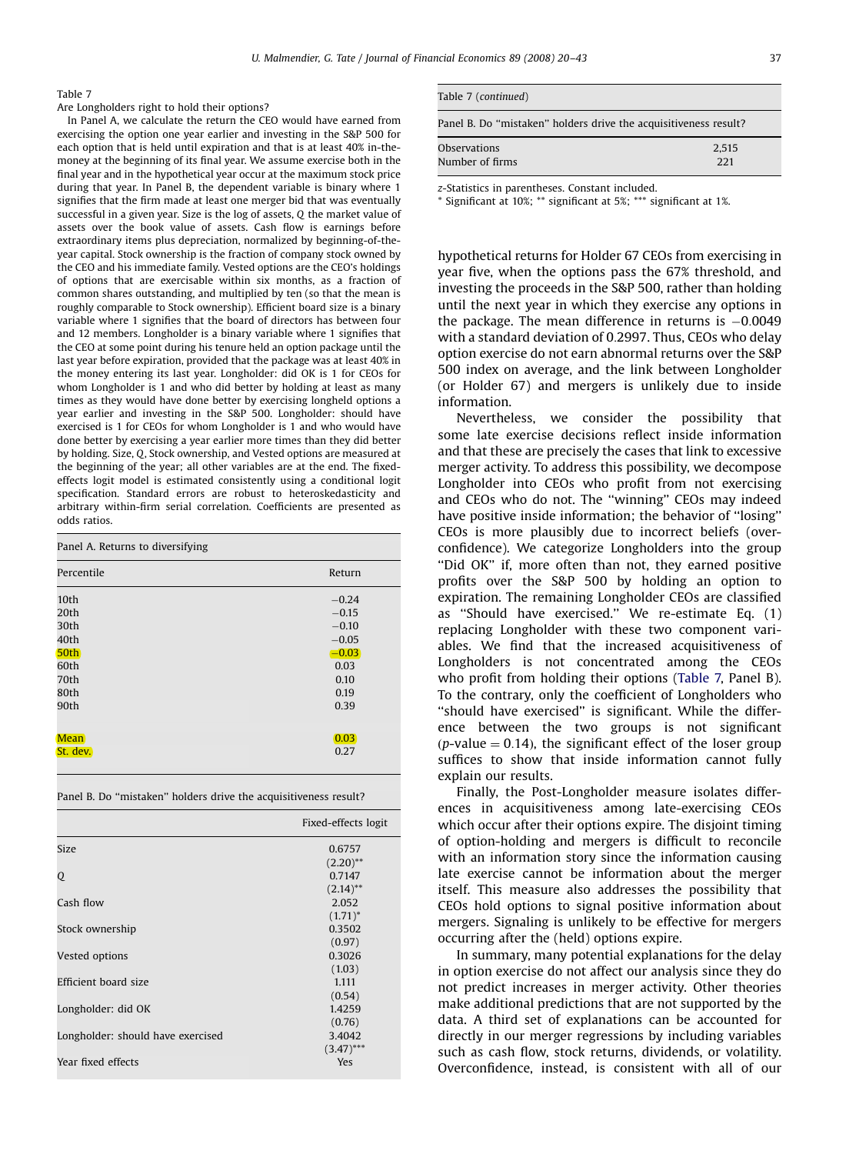<span id="page-17-0"></span>Are Longholders right to hold their options?

In Panel A, we calculate the return the CEO would have earned from exercising the option one year earlier and investing in the S&P 500 for each option that is held until expiration and that is at least 40% in-themoney at the beginning of its final year. We assume exercise both in the final year and in the hypothetical year occur at the maximum stock price during that year. In Panel B, the dependent variable is binary where 1 signifies that the firm made at least one merger bid that was eventually successful in a given year. Size is the log of assets, Q the market value of assets over the book value of assets. Cash flow is earnings before extraordinary items plus depreciation, normalized by beginning-of-theyear capital. Stock ownership is the fraction of company stock owned by the CEO and his immediate family. Vested options are the CEO's holdings of options that are exercisable within six months, as a fraction of common shares outstanding, and multiplied by ten (so that the mean is roughly comparable to Stock ownership). Efficient board size is a binary variable where 1 signifies that the board of directors has between four and 12 members. Longholder is a binary variable where 1 signifies that the CEO at some point during his tenure held an option package until the last year before expiration, provided that the package was at least 40% in the money entering its last year. Longholder: did OK is 1 for CEOs for whom Longholder is 1 and who did better by holding at least as many times as they would have done better by exercising longheld options a year earlier and investing in the S&P 500. Longholder: should have exercised is 1 for CEOs for whom Longholder is 1 and who would have done better by exercising a year earlier more times than they did better by holding. Size, Q, Stock ownership, and Vested options are measured at the beginning of the year; all other variables are at the end. The fixedeffects logit model is estimated consistently using a conditional logit specification. Standard errors are robust to heteroskedasticity and arbitrary within-firm serial correlation. Coefficients are presented as odds ratios.

Panel A. Returns to diversifying

| Percentile  | Return  |
|-------------|---------|
| 10th        | $-0.24$ |
| 20th        | $-0.15$ |
| 30th        | $-0.10$ |
| 40th        | $-0.05$ |
| 50th        | $-0.03$ |
| 60th        | 0.03    |
| 70th        | 0.10    |
| 80th        | 0.19    |
| 90th        | 0.39    |
|             |         |
| <b>Mean</b> | 0.03    |
| St. dev.    | 0.27    |

|  |  | Panel B. Do "mistaken" holders drive the acquisitiveness result? |
|--|--|------------------------------------------------------------------|
|--|--|------------------------------------------------------------------|

|                                   | Fixed-effects logit |
|-----------------------------------|---------------------|
| <b>Size</b>                       | 0.6757              |
|                                   | $(2.20)$ **         |
| Q                                 | 0.7147              |
|                                   | $(2.14)$ **         |
| Cash flow                         | 2.052               |
|                                   | $(1.71)^*$          |
| Stock ownership                   | 0.3502              |
|                                   | (0.97)              |
| Vested options                    | 0.3026              |
|                                   | (1.03)              |
| Efficient board size              | 1.111               |
|                                   | (0.54)              |
| Longholder: did OK                | 1.4259              |
|                                   | (0.76)              |
| Longholder: should have exercised | 3.4042              |
|                                   | $(3.47)$ ***        |
| Year fixed effects                | Yes                 |
|                                   |                     |

| Table 7 (continued)                                              |              |
|------------------------------------------------------------------|--------------|
| Panel B. Do "mistaken" holders drive the acquisitiveness result? |              |
| Observations<br>Number of firms                                  | 2.515<br>221 |

z-Statistics in parentheses. Constant included.

\* Significant at 10%; \*\* significant at 5%; \*\*\* significant at 1%.

hypothetical returns for Holder 67 CEOs from exercising in year five, when the options pass the 67% threshold, and investing the proceeds in the S&P 500, rather than holding until the next year in which they exercise any options in the package. The mean difference in returns is  $-0.0049$ with a standard deviation of 0:2997. Thus, CEOs who delay option exercise do not earn abnormal returns over the S&P 500 index on average, and the link between Longholder (or Holder 67) and mergers is unlikely due to inside information.

Nevertheless, we consider the possibility that some late exercise decisions reflect inside information and that these are precisely the cases that link to excessive merger activity. To address this possibility, we decompose Longholder into CEOs who profit from not exercising and CEOs who do not. The ''winning'' CEOs may indeed have positive inside information; the behavior of ''losing'' CEOs is more plausibly due to incorrect beliefs (overconfidence). We categorize Longholders into the group ''Did OK'' if, more often than not, they earned positive profits over the S&P 500 by holding an option to expiration. The remaining Longholder CEOs are classified as ''Should have exercised.'' We re-estimate Eq. (1) replacing Longholder with these two component variables. We find that the increased acquisitiveness of Longholders is not concentrated among the CEOs who profit from holding their options (Table 7, Panel B). To the contrary, only the coefficient of Longholders who ''should have exercised'' is significant. While the difference between the two groups is not significant  $(p$ -value = 0.14), the significant effect of the loser group suffices to show that inside information cannot fully explain our results.

Finally, the Post-Longholder measure isolates differences in acquisitiveness among late-exercising CEOs which occur after their options expire. The disjoint timing of option-holding and mergers is difficult to reconcile with an information story since the information causing late exercise cannot be information about the merger itself. This measure also addresses the possibility that CEOs hold options to signal positive information about mergers. Signaling is unlikely to be effective for mergers occurring after the (held) options expire.

In summary, many potential explanations for the delay in option exercise do not affect our analysis since they do not predict increases in merger activity. Other theories make additional predictions that are not supported by the data. A third set of explanations can be accounted for directly in our merger regressions by including variables such as cash flow, stock returns, dividends, or volatility. Overconfidence, instead, is consistent with all of our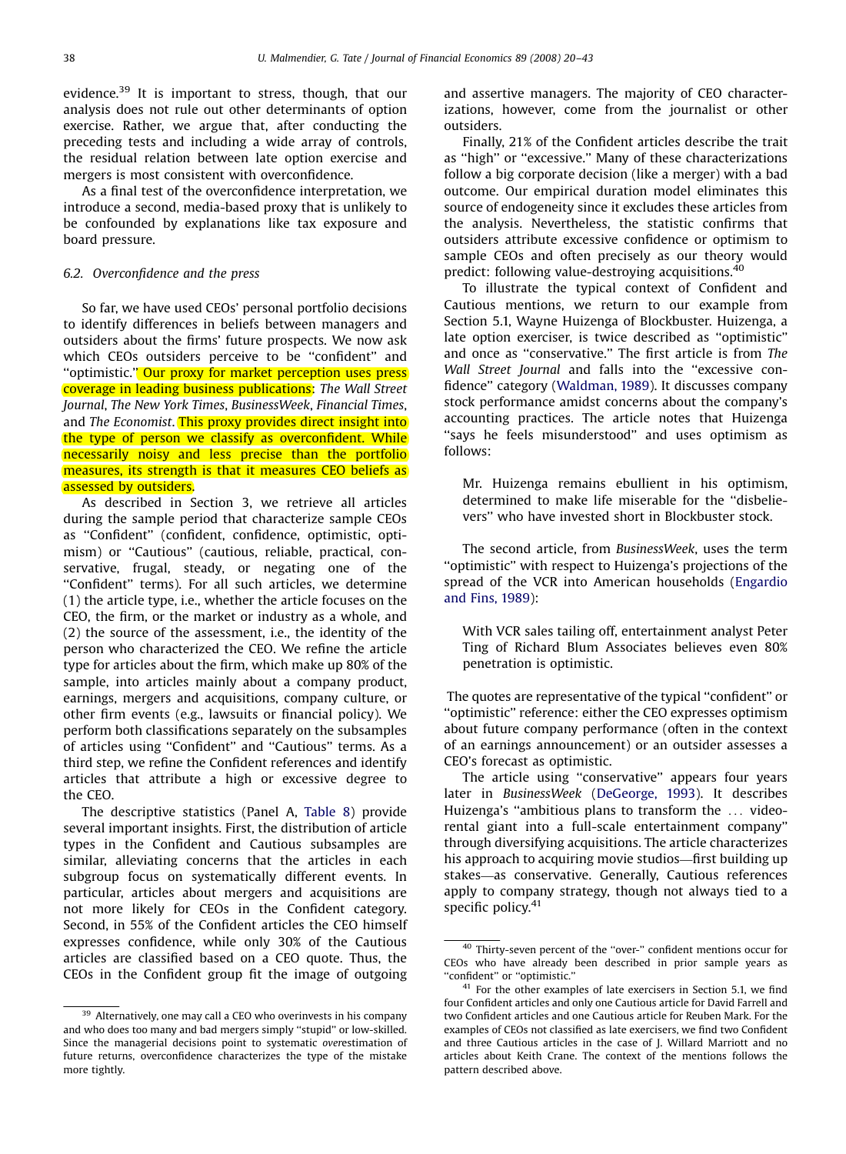evidence.<sup>39</sup> It is important to stress, though, that our analysis does not rule out other determinants of option exercise. Rather, we argue that, after conducting the preceding tests and including a wide array of controls, the residual relation between late option exercise and mergers is most consistent with overconfidence.

As a final test of the overconfidence interpretation, we introduce a second, media-based proxy that is unlikely to be confounded by explanations like tax exposure and board pressure.

# 6.2. Overconfidence and the press

So far, we have used CEOs' personal portfolio decisions to identify differences in beliefs between managers and outsiders about the firms' future prospects. We now ask which CEOs outsiders perceive to be "confident" and ''optimistic.'' Our proxy for market perception uses press coverage in leading business publications: The Wall Street Journal, The New York Times, BusinessWeek, Financial Times, and The Economist. This proxy provides direct insight into the type of person we classify as overconfident. While necessarily noisy and less precise than the portfolio measures, its strength is that it measures CEO beliefs as assessed by outsiders.

As described in Section 3, we retrieve all articles during the sample period that characterize sample CEOs as ''Confident'' (confident, confidence, optimistic, optimism) or "Cautious" (cautious, reliable, practical, conservative, frugal, steady, or negating one of the "Confident" terms). For all such articles, we determine (1) the article type, i.e., whether the article focuses on the CEO, the firm, or the market or industry as a whole, and (2) the source of the assessment, i.e., the identity of the person who characterized the CEO. We refine the article type for articles about the firm, which make up 80% of the sample, into articles mainly about a company product, earnings, mergers and acquisitions, company culture, or other firm events (e.g., lawsuits or financial policy). We perform both classifications separately on the subsamples of articles using ''Confident'' and ''Cautious'' terms. As a third step, we refine the Confident references and identify articles that attribute a high or excessive degree to the CEO.

The descriptive statistics (Panel A, [Table 8\)](#page-19-0) provide several important insights. First, the distribution of article types in the Confident and Cautious subsamples are similar, alleviating concerns that the articles in each subgroup focus on systematically different events. In particular, articles about mergers and acquisitions are not more likely for CEOs in the Confident category. Second, in 55% of the Confident articles the CEO himself expresses confidence, while only 30% of the Cautious articles are classified based on a CEO quote. Thus, the CEOs in the Confident group fit the image of outgoing and assertive managers. The majority of CEO characterizations, however, come from the journalist or other outsiders.

Finally, 21% of the Confident articles describe the trait as ''high'' or ''excessive.'' Many of these characterizations follow a big corporate decision (like a merger) with a bad outcome. Our empirical duration model eliminates this source of endogeneity since it excludes these articles from the analysis. Nevertheless, the statistic confirms that outsiders attribute excessive confidence or optimism to sample CEOs and often precisely as our theory would predict: following value-destroying acquisitions.<sup>40</sup>

To illustrate the typical context of Confident and Cautious mentions, we return to our example from Section 5.1, Wayne Huizenga of Blockbuster. Huizenga, a late option exerciser, is twice described as ''optimistic'' and once as "conservative." The first article is from The Wall Street Journal and falls into the ''excessive confidence'' category [\(Waldman, 1989](#page-23-0)). It discusses company stock performance amidst concerns about the company's accounting practices. The article notes that Huizenga ''says he feels misunderstood'' and uses optimism as follows:

Mr. Huizenga remains ebullient in his optimism, determined to make life miserable for the ''disbelievers'' who have invested short in Blockbuster stock.

The second article, from BusinessWeek, uses the term ''optimistic'' with respect to Huizenga's projections of the spread of the VCR into American households [\(Engardio](#page-22-0) [and Fins, 1989](#page-22-0)):

With VCR sales tailing off, entertainment analyst Peter Ting of Richard Blum Associates believes even 80% penetration is optimistic.

The quotes are representative of the typical ''confident'' or ''optimistic'' reference: either the CEO expresses optimism about future company performance (often in the context of an earnings announcement) or an outsider assesses a CEO's forecast as optimistic.

The article using "conservative" appears four years later in BusinessWeek [\(DeGeorge, 1993\)](#page-22-0). It describes Huizenga's ''ambitious plans to transform the ... videorental giant into a full-scale entertainment company'' through diversifying acquisitions. The article characterizes his approach to acquiring movie studios—first building up stakes—as conservative. Generally, Cautious references apply to company strategy, though not always tied to a specific policy.<sup>41</sup>

<sup>&</sup>lt;sup>39</sup> Alternatively, one may call a CEO who overinvests in his company and who does too many and bad mergers simply ''stupid'' or low-skilled. Since the managerial decisions point to systematic overestimation of future returns, overconfidence characterizes the type of the mistake more tightly.

<sup>40</sup> Thirty-seven percent of the ''over-'' confident mentions occur for CEOs who have already been described in prior sample years as ''confident'' or ''optimistic.''

<sup>&</sup>lt;sup>41</sup> For the other examples of late exercisers in Section 5.1, we find four Confident articles and only one Cautious article for David Farrell and two Confident articles and one Cautious article for Reuben Mark. For the examples of CEOs not classified as late exercisers, we find two Confident and three Cautious articles in the case of J. Willard Marriott and no articles about Keith Crane. The context of the mentions follows the pattern described above.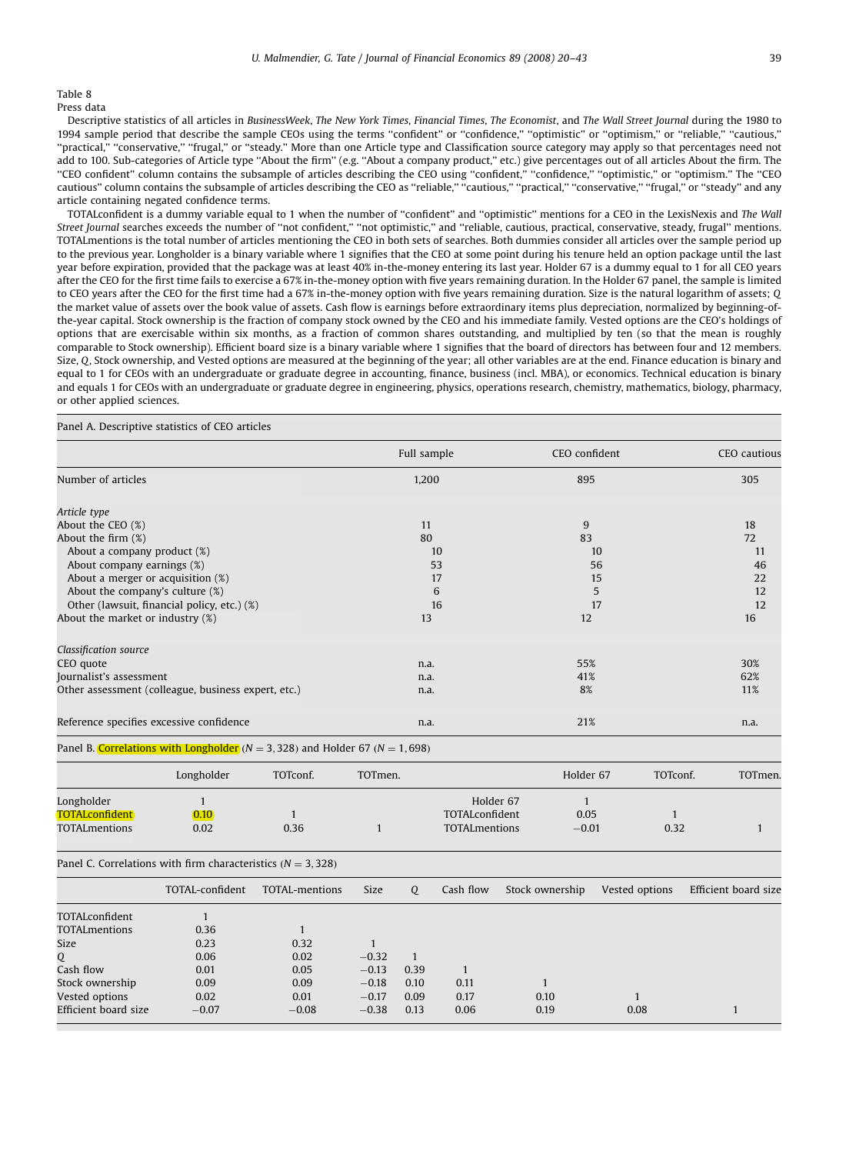<span id="page-19-0"></span>Press data

Descriptive statistics of all articles in BusinessWeek, The New York Times, Financial Times, The Economist, and The Wall Street Journal during the 1980 to 1994 sample period that describe the sample CEOs using the terms ''confident'' or ''confidence,'' ''optimistic'' or ''optimism,'' or ''reliable,'' ''cautious,'' ''practical,'' ''conservative,'' ''frugal,'' or ''steady.'' More than one Article type and Classification source category may apply so that percentages need not add to 100. Sub-categories of Article type ''About the firm'' (e.g. ''About a company product,'' etc.) give percentages out of all articles About the firm. The ''CEO confident'' column contains the subsample of articles describing the CEO using ''confident,'' ''confidence,'' ''optimistic,'' or ''optimism.'' The ''CEO cautious'' column contains the subsample of articles describing the CEO as ''reliable,'' ''cautious,'' ''practical,'' ''conservative,'' ''frugal,'' or ''steady'' and any article containing negated confidence terms.

TOTALconfident is a dummy variable equal to 1 when the number of ''confident'' and ''optimistic'' mentions for a CEO in the LexisNexis and The Wall Street Journal searches exceeds the number of ''not confident,'' ''not optimistic,'' and ''reliable, cautious, practical, conservative, steady, frugal'' mentions. TOTALmentions is the total number of articles mentioning the CEO in both sets of searches. Both dummies consider all articles over the sample period up to the previous year. Longholder is a binary variable where 1 signifies that the CEO at some point during his tenure held an option package until the last year before expiration, provided that the package was at least 40% in-the-money entering its last year. Holder 67 is a dummy equal to 1 for all CEO years after the CEO for the first time fails to exercise a 67% in-the-money option with five years remaining duration. In the Holder 67 panel, the sample is limited to CEO years after the CEO for the first time had a 67% in-the-money option with five years remaining duration. Size is the natural logarithm of assets; Q the market value of assets over the book value of assets. Cash flow is earnings before extraordinary items plus depreciation, normalized by beginning-ofthe-year capital. Stock ownership is the fraction of company stock owned by the CEO and his immediate family. Vested options are the CEO's holdings of options that are exercisable within six months, as a fraction of common shares outstanding, and multiplied by ten (so that the mean is roughly comparable to Stock ownership). Efficient board size is a binary variable where 1 signifies that the board of directors has between four and 12 members. Size, Q, Stock ownership, and Vested options are measured at the beginning of the year; all other variables are at the end. Finance education is binary and equal to 1 for CEOs with an undergraduate or graduate degree in accounting, finance, business (incl. MBA), or economics. Technical education is binary and equals 1 for CEOs with an undergraduate or graduate degree in engineering, physics, operations research, chemistry, mathematics, biology, pharmacy, or other applied sciences.

## Panel A. Descriptive statistics of CEO articles

|                                                     | Full sample | CEO confident | CEO cautious |
|-----------------------------------------------------|-------------|---------------|--------------|
| Number of articles                                  | 1,200       | 895           | 305          |
| Article type                                        |             |               |              |
| About the CEO (%)                                   | 11          | 9             | 18           |
| About the firm $(\%)$                               | 80          | 83            | 72           |
| About a company product (%)                         | 10          | 10            | 11           |
| About company earnings (%)                          | 53          | 56            | 46           |
| About a merger or acquisition (%)                   | 17          | 15            | 22           |
| About the company's culture (%)                     | 6           | 5             | 12           |
| Other (lawsuit, financial policy, etc.) (%)         | 16          | 17            | 12           |
| About the market or industry (%)                    | 13          | 12            | 16           |
| <b>Classification source</b>                        |             |               |              |
| CEO quote                                           | n.a.        | 55%           | 30%          |
| Journalist's assessment                             | n.a.        | 41%           | 62%          |
| Other assessment (colleague, business expert, etc.) | n.a.        | 8%            | 11%          |
| Reference specifies excessive confidence            | n.a.        | 21%           | n.a.         |

Panel B. Correlations with Longholder  $(N = 3, 328)$  and Holder 67  $(N = 1, 698)$ 

|                | Longholder | TOTconf. | TOTmen. |                        | Holder <sub>67</sub> | TOTconf. | TOTmen |
|----------------|------------|----------|---------|------------------------|----------------------|----------|--------|
| Longholder     |            |          |         | Holder <sub>67</sub>   |                      |          |        |
| TOTALconfident | 0.10       |          |         | <b>TOTAL</b> confident | 0.05                 |          |        |
| TOTALmentions  | 0.02       | 0.36     |         | <b>TOTAL</b> mentions  | $-0.01$              | 0.32     |        |

#### Panel C. Correlations with firm characteristics  $(N = 3, 328)$

|                      | TOTAL-confident | TOTAL-mentions | Size    | $\overline{O}$ | Cash flow | Stock ownership | Vested options | Efficient board size |
|----------------------|-----------------|----------------|---------|----------------|-----------|-----------------|----------------|----------------------|
| TOTALconfident       |                 |                |         |                |           |                 |                |                      |
| TOTALmentions        | 0.36            |                |         |                |           |                 |                |                      |
| Size                 | 0.23            | 0.32           |         |                |           |                 |                |                      |
| Q                    | 0.06            | 0.02           | $-0.32$ |                |           |                 |                |                      |
| Cash flow            | 0.01            | 0.05           | $-0.13$ | 0.39           |           |                 |                |                      |
| Stock ownership      | 0.09            | 0.09           | $-0.18$ | 0.10           | 0.11      |                 |                |                      |
| Vested options       | 0.02            | 0.01           | $-0.17$ | 0.09           | 0.17      | 0.10            |                |                      |
| Efficient board size | $-0.07$         | $-0.08$        | $-0.38$ | 0.13           | 0.06      | 0.19            | 0.08           |                      |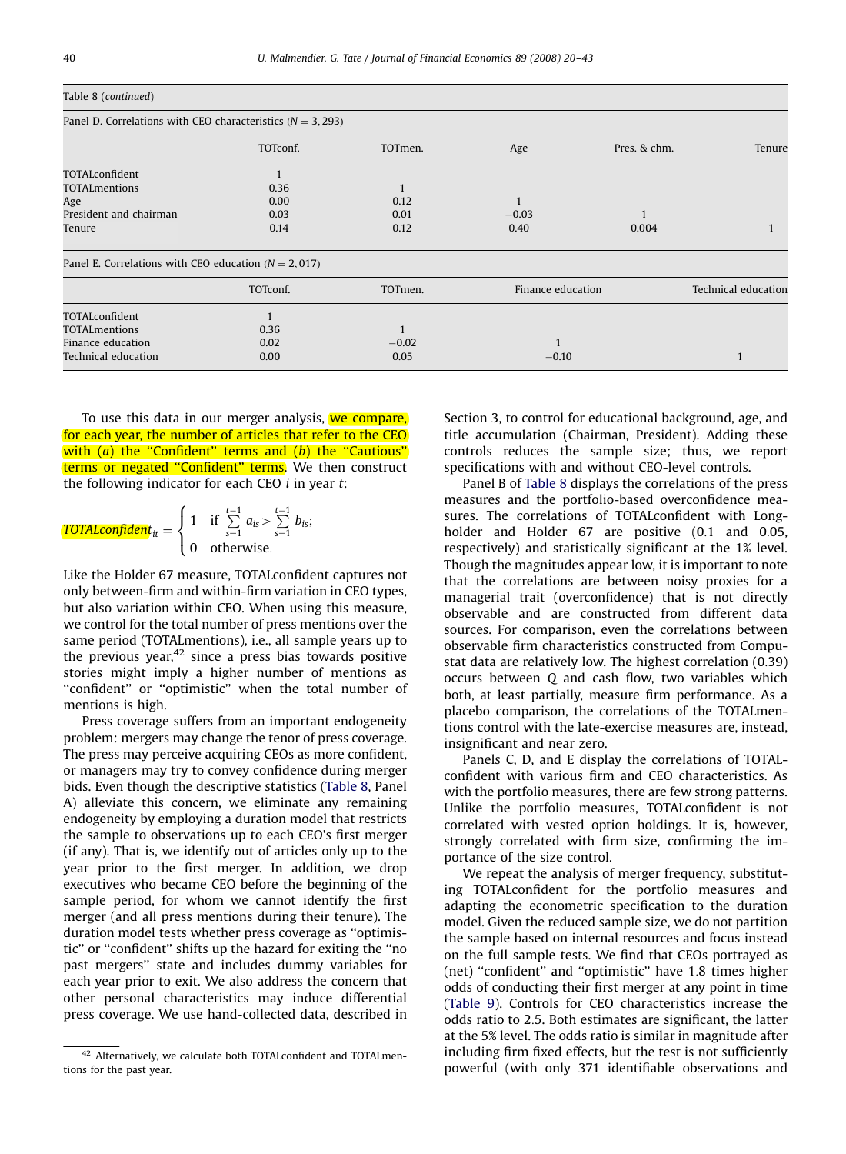|  | Table 8 (continued) |
|--|---------------------|
|--|---------------------|

| Panel D. Correlations with CEO characteristics ( $N = 3,293$ ) |          |         |                   |              |                     |
|----------------------------------------------------------------|----------|---------|-------------------|--------------|---------------------|
|                                                                | TOTconf. | TOTmen. | Age               | Pres. & chm. | Tenure              |
| TOTALconfident                                                 |          |         |                   |              |                     |
| TOTALmentions                                                  | 0.36     |         |                   |              |                     |
| Age                                                            | 0.00     | 0.12    |                   |              |                     |
| President and chairman                                         | 0.03     | 0.01    | $-0.03$           |              |                     |
| Tenure                                                         | 0.14     | 0.12    | 0.40              | 0.004        |                     |
| Panel E. Correlations with CEO education ( $N = 2,017$ )       |          |         |                   |              |                     |
|                                                                | TOTconf. | TOTmen. | Finance education |              | Technical education |
| TOTALconfident                                                 |          |         |                   |              |                     |
| TOTALmentions                                                  | 0.36     |         |                   |              |                     |
| Finance education                                              | 0.02     | $-0.02$ |                   |              |                     |
| Technical education                                            | 0.00     | 0.05    | $-0.10$           |              |                     |

To use this data in our merger analysis, we compare, for each year, the number of articles that refer to the CEO with  $(a)$  the "Confident" terms and  $(b)$  the "Cautious" terms or negated "Confident" terms. We then construct the following indicator for each CEO  $i$  in year  $t$ :

$$
\text{TOTALconfident}_{it} = \begin{cases} 1 & \text{if } \sum_{s=1}^{t-1} a_{is} > \sum_{s=1}^{t-1} b_{is}; \\ 0 & \text{otherwise.} \end{cases}
$$

Like the Holder 67 measure, TOTALconfident captures not only between-firm and within-firm variation in CEO types, but also variation within CEO. When using this measure, we control for the total number of press mentions over the same period (TOTALmentions), i.e., all sample years up to the previous year, $42$  since a press bias towards positive stories might imply a higher number of mentions as ''confident'' or ''optimistic'' when the total number of mentions is high.

Press coverage suffers from an important endogeneity problem: mergers may change the tenor of press coverage. The press may perceive acquiring CEOs as more confident, or managers may try to convey confidence during merger bids. Even though the descriptive statistics ([Table 8](#page-19-0), Panel A) alleviate this concern, we eliminate any remaining endogeneity by employing a duration model that restricts the sample to observations up to each CEO's first merger (if any). That is, we identify out of articles only up to the year prior to the first merger. In addition, we drop executives who became CEO before the beginning of the sample period, for whom we cannot identify the first merger (and all press mentions during their tenure). The duration model tests whether press coverage as ''optimistic'' or ''confident'' shifts up the hazard for exiting the ''no past mergers'' state and includes dummy variables for each year prior to exit. We also address the concern that other personal characteristics may induce differential press coverage. We use hand-collected data, described in

Section 3, to control for educational background, age, and title accumulation (Chairman, President). Adding these controls reduces the sample size; thus, we report specifications with and without CEO-level controls.

Panel B of [Table 8](#page-19-0) displays the correlations of the press measures and the portfolio-based overconfidence measures. The correlations of TOTALconfident with Longholder and Holder 67 are positive (0.1 and 0.05, respectively) and statistically significant at the 1% level. Though the magnitudes appear low, it is important to note that the correlations are between noisy proxies for a managerial trait (overconfidence) that is not directly observable and are constructed from different data sources. For comparison, even the correlations between observable firm characteristics constructed from Compustat data are relatively low. The highest correlation (0:39) occurs between Q and cash flow, two variables which both, at least partially, measure firm performance. As a placebo comparison, the correlations of the TOTALmentions control with the late-exercise measures are, instead, insignificant and near zero.

Panels C, D, and E display the correlations of TOTALconfident with various firm and CEO characteristics. As with the portfolio measures, there are few strong patterns. Unlike the portfolio measures, TOTALconfident is not correlated with vested option holdings. It is, however, strongly correlated with firm size, confirming the importance of the size control.

We repeat the analysis of merger frequency, substituting TOTALconfident for the portfolio measures and adapting the econometric specification to the duration model. Given the reduced sample size, we do not partition the sample based on internal resources and focus instead on the full sample tests. We find that CEOs portrayed as (net) ''confident'' and ''optimistic'' have 1:8 times higher odds of conducting their first merger at any point in time [\(Table 9](#page-21-0)). Controls for CEO characteristics increase the odds ratio to 2:5. Both estimates are significant, the latter at the 5% level. The odds ratio is similar in magnitude after including firm fixed effects, but the test is not sufficiently powerful (with only 371 identifiable observations and

<sup>&</sup>lt;sup>42</sup> Alternatively, we calculate both TOTALconfident and TOTALmentions for the past year.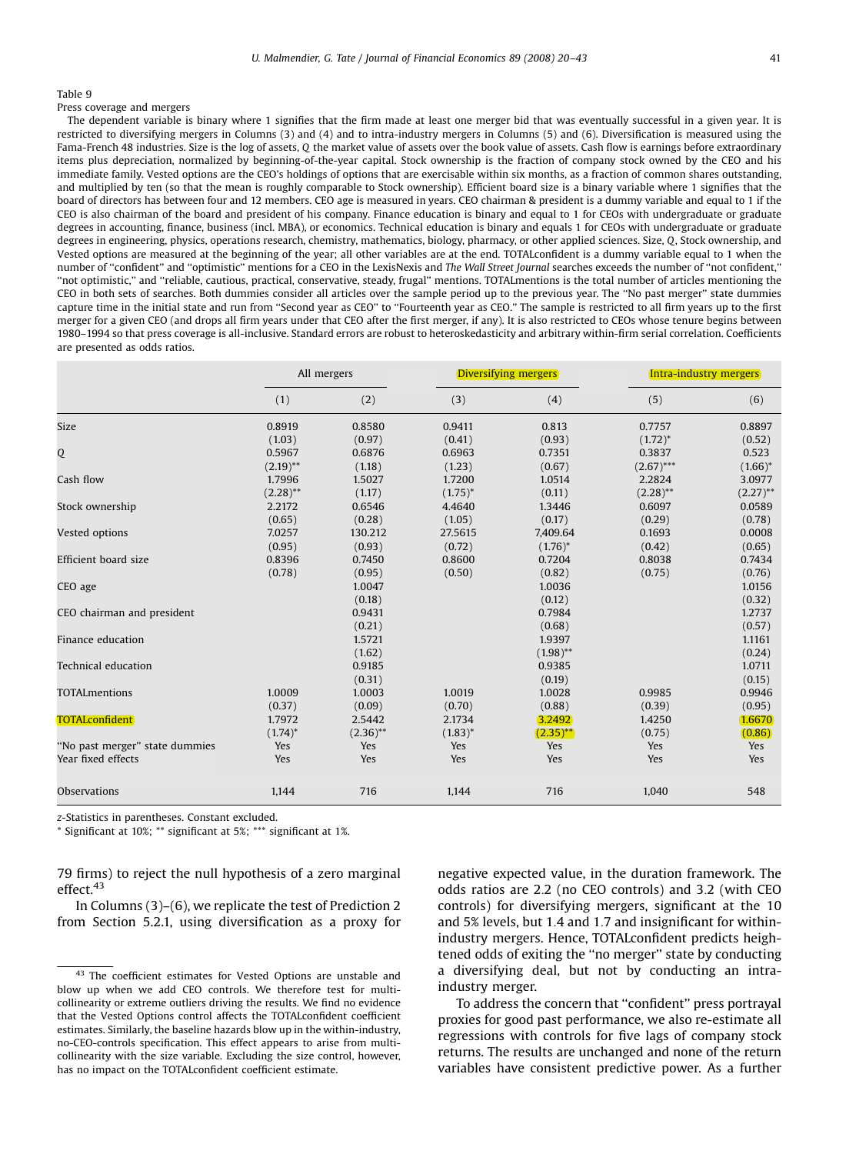<span id="page-21-0"></span>Press coverage and mergers

The dependent variable is binary where 1 signifies that the firm made at least one merger bid that was eventually successful in a given year. It is restricted to diversifying mergers in Columns (3) and (4) and to intra-industry mergers in Columns (5) and (6). Diversification is measured using the Fama-French 48 industries. Size is the log of assets, Q the market value of assets over the book value of assets. Cash flow is earnings before extraordinary items plus depreciation, normalized by beginning-of-the-year capital. Stock ownership is the fraction of company stock owned by the CEO and his immediate family. Vested options are the CEO's holdings of options that are exercisable within six months, as a fraction of common shares outstanding, and multiplied by ten (so that the mean is roughly comparable to Stock ownership). Efficient board size is a binary variable where 1 signifies that the board of directors has between four and 12 members. CEO age is measured in years. CEO chairman & president is a dummy variable and equal to 1 if the CEO is also chairman of the board and president of his company. Finance education is binary and equal to 1 for CEOs with undergraduate or graduate degrees in accounting, finance, business (incl. MBA), or economics. Technical education is binary and equals 1 for CEOs with undergraduate or graduate degrees in engineering, physics, operations research, chemistry, mathematics, biology, pharmacy, or other applied sciences. Size, Q, Stock ownership, and Vested options are measured at the beginning of the year; all other variables are at the end. TOTALconfident is a dummy variable equal to 1 when the number of ''confident'' and ''optimistic'' mentions for a CEO in the LexisNexis and The Wall Street Journal searches exceeds the number of ''not confident,'' ''not optimistic,'' and ''reliable, cautious, practical, conservative, steady, frugal'' mentions. TOTALmentions is the total number of articles mentioning the CEO in both sets of searches. Both dummies consider all articles over the sample period up to the previous year. The ''No past merger'' state dummies capture time in the initial state and run from ''Second year as CEO'' to ''Fourteenth year as CEO.'' The sample is restricted to all firm years up to the first merger for a given CEO (and drops all firm years under that CEO after the first merger, if any). It is also restricted to CEOs whose tenure begins between 1980–1994 so that press coverage is all-inclusive. Standard errors are robust to heteroskedasticity and arbitrary within-firm serial correlation. Coefficients are presented as odds ratios.

|                                | All mergers |             |              | Diversifying mergers |              | Intra-industry mergers |  |
|--------------------------------|-------------|-------------|--------------|----------------------|--------------|------------------------|--|
|                                | (1)         | (2)         | (3)          | (4)                  | (5)          | (6)                    |  |
| Size                           | 0.8919      | 0.8580      | 0.9411       | 0.813                | 0.7757       | 0.8897                 |  |
|                                | (1.03)      | (0.97)      | (0.41)       | (0.93)               | $(1.72)^{*}$ | (0.52)                 |  |
| Q                              | 0.5967      | 0.6876      | 0.6963       | 0.7351               | 0.3837       | 0.523                  |  |
|                                | $(2.19)$ ** | (1.18)      | (1.23)       | (0.67)               | $(2.67)$ *** | $(1.66)^*$             |  |
| Cash flow                      | 1.7996      | 1.5027      | 1.7200       | 1.0514               | 2.2824       | 3.0977                 |  |
|                                | $(2.28)$ ** | (1.17)      | $(1.75)^{*}$ | (0.11)               | $(2.28)$ **  | $(2.27)$ **            |  |
| Stock ownership                | 2.2172      | 0.6546      | 4.4640       | 1.3446               | 0.6097       | 0.0589                 |  |
|                                | (0.65)      | (0.28)      | (1.05)       | (0.17)               | (0.29)       | (0.78)                 |  |
| Vested options                 | 7.0257      | 130.212     | 27.5615      | 7,409.64             | 0.1693       | 0.0008                 |  |
|                                | (0.95)      | (0.93)      | (0.72)       | $(1.76)^*$           | (0.42)       | (0.65)                 |  |
| Efficient board size           | 0.8396      | 0.7450      | 0.8600       | 0.7204               | 0.8038       | 0.7434                 |  |
|                                | (0.78)      | (0.95)      | (0.50)       | (0.82)               | (0.75)       | (0.76)                 |  |
| CEO age                        |             | 1.0047      |              | 1.0036               |              | 1.0156                 |  |
|                                |             | (0.18)      |              | (0.12)               |              | (0.32)                 |  |
| CEO chairman and president     |             | 0.9431      |              | 0.7984               |              | 1.2737                 |  |
|                                |             | (0.21)      |              | (0.68)               |              | (0.57)                 |  |
| Finance education              |             | 1.5721      |              | 1.9397               |              | 1.1161                 |  |
|                                |             | (1.62)      |              | $(1.98)$ **          |              | (0.24)                 |  |
| Technical education            |             | 0.9185      |              | 0.9385               |              | 1.0711                 |  |
|                                |             | (0.31)      |              | (0.19)               |              | (0.15)                 |  |
| <b>TOTALmentions</b>           | 1.0009      | 1.0003      | 1.0019       | 1.0028               | 0.9985       | 0.9946                 |  |
|                                | (0.37)      | (0.09)      | (0.70)       | (0.88)               | (0.39)       | (0.95)                 |  |
| <b>TOTALconfident</b>          | 1.7972      | 2.5442      | 2.1734       | 3.2492               | 1.4250       | 1.6670                 |  |
|                                | $(1.74)^*$  | $(2.36)$ ** | $(1.83)^{*}$ | $(2.35)$ **          | (0.75)       | (0.86)                 |  |
| "No past merger" state dummies | Yes         | Yes         | Yes          | Yes                  | Yes          | Yes                    |  |
| Year fixed effects             | Yes         | Yes         | Yes          | Yes                  | Yes          | Yes                    |  |
| Observations                   | 1,144       | 716         | 1,144        | 716                  | 1,040        | 548                    |  |

z-Statistics in parentheses. Constant excluded.

\* Significant at 10%; \*\* significant at 5%; \*\*\* significant at 1%.

79 firms) to reject the null hypothesis of a zero marginal effect.<sup>43</sup>

In Columns (3)–(6), we replicate the test of Prediction 2 from Section 5.2.1, using diversification as a proxy for

negative expected value, in the duration framework. The odds ratios are 2:2 (no CEO controls) and 3:2 (with CEO controls) for diversifying mergers, significant at the 10 and 5% levels, but 1.4 and 1.7 and insignificant for withinindustry mergers. Hence, TOTALconfident predicts heightened odds of exiting the ''no merger'' state by conducting a diversifying deal, but not by conducting an intraindustry merger.

To address the concern that ''confident'' press portrayal proxies for good past performance, we also re-estimate all regressions with controls for five lags of company stock returns. The results are unchanged and none of the return variables have consistent predictive power. As a further

<sup>&</sup>lt;sup>43</sup> The coefficient estimates for Vested Options are unstable and blow up when we add CEO controls. We therefore test for multicollinearity or extreme outliers driving the results. We find no evidence that the Vested Options control affects the TOTALconfident coefficient estimates. Similarly, the baseline hazards blow up in the within-industry, no-CEO-controls specification. This effect appears to arise from multicollinearity with the size variable. Excluding the size control, however, has no impact on the TOTALconfident coefficient estimate.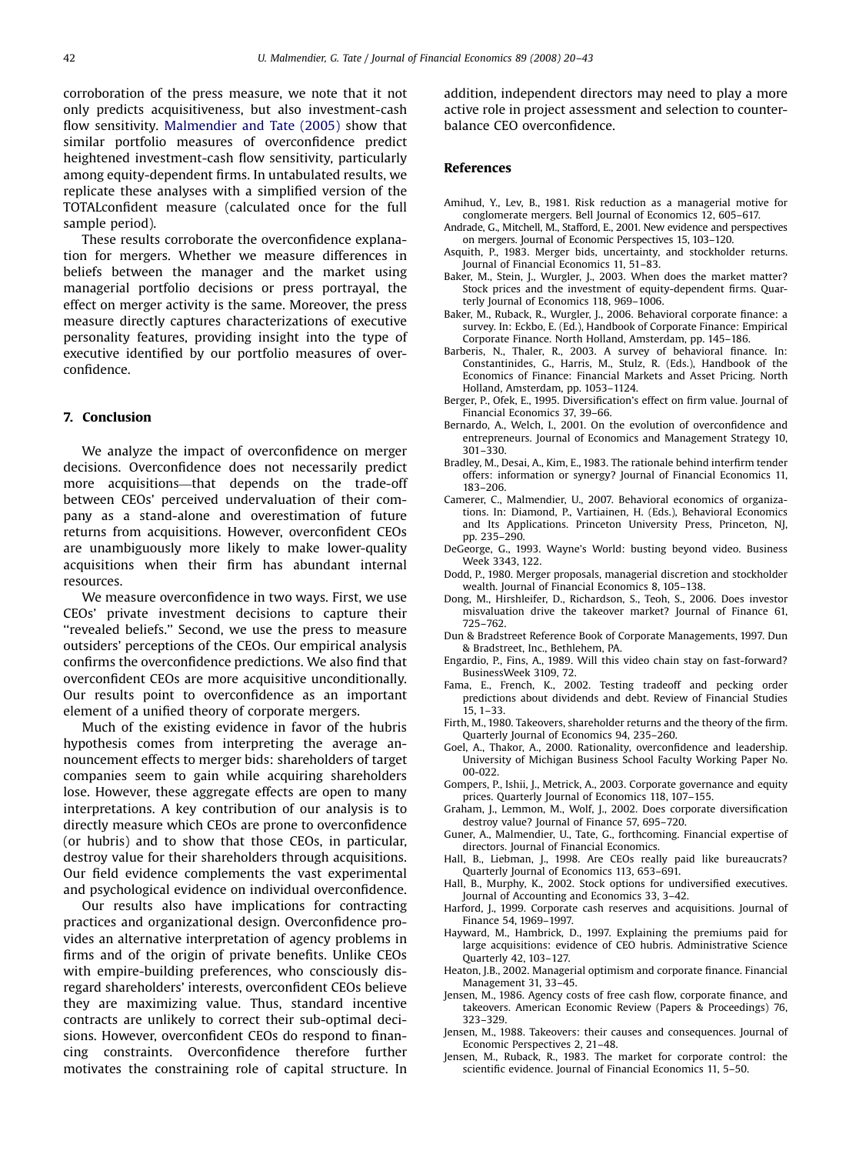<span id="page-22-0"></span>corroboration of the press measure, we note that it not only predicts acquisitiveness, but also investment-cash flow sensitivity. [Malmendier and Tate \(2005\)](#page-23-0) show that similar portfolio measures of overconfidence predict heightened investment-cash flow sensitivity, particularly among equity-dependent firms. In untabulated results, we replicate these analyses with a simplified version of the TOTALconfident measure (calculated once for the full sample period).

These results corroborate the overconfidence explanation for mergers. Whether we measure differences in beliefs between the manager and the market using managerial portfolio decisions or press portrayal, the effect on merger activity is the same. Moreover, the press measure directly captures characterizations of executive personality features, providing insight into the type of executive identified by our portfolio measures of overconfidence.

# 7. Conclusion

We analyze the impact of overconfidence on merger decisions. Overconfidence does not necessarily predict more acquisitions—that depends on the trade-off between CEOs' perceived undervaluation of their company as a stand-alone and overestimation of future returns from acquisitions. However, overconfident CEOs are unambiguously more likely to make lower-quality acquisitions when their firm has abundant internal resources.

We measure overconfidence in two ways. First, we use CEOs' private investment decisions to capture their ''revealed beliefs.'' Second, we use the press to measure outsiders' perceptions of the CEOs. Our empirical analysis confirms the overconfidence predictions. We also find that overconfident CEOs are more acquisitive unconditionally. Our results point to overconfidence as an important element of a unified theory of corporate mergers.

Much of the existing evidence in favor of the hubris hypothesis comes from interpreting the average announcement effects to merger bids: shareholders of target companies seem to gain while acquiring shareholders lose. However, these aggregate effects are open to many interpretations. A key contribution of our analysis is to directly measure which CEOs are prone to overconfidence (or hubris) and to show that those CEOs, in particular, destroy value for their shareholders through acquisitions. Our field evidence complements the vast experimental and psychological evidence on individual overconfidence.

Our results also have implications for contracting practices and organizational design. Overconfidence provides an alternative interpretation of agency problems in firms and of the origin of private benefits. Unlike CEOs with empire-building preferences, who consciously disregard shareholders' interests, overconfident CEOs believe they are maximizing value. Thus, standard incentive contracts are unlikely to correct their sub-optimal decisions. However, overconfident CEOs do respond to financing constraints. Overconfidence therefore further motivates the constraining role of capital structure. In

addition, independent directors may need to play a more active role in project assessment and selection to counterbalance CEO overconfidence.

# References

- Amihud, Y., Lev, B., 1981. Risk reduction as a managerial motive for conglomerate mergers. Bell Journal of Economics 12, 605–617.
- Andrade, G., Mitchell, M., Stafford, E., 2001. New evidence and perspectives on mergers. Journal of Economic Perspectives 15, 103–120.
- Asquith, P., 1983. Merger bids, uncertainty, and stockholder returns. Journal of Financial Economics 11, 51–83.
- Baker, M., Stein, J., Wurgler, J., 2003. When does the market matter? Stock prices and the investment of equity-dependent firms. Quarterly Journal of Economics 118, 969–1006.
- Baker, M., Ruback, R., Wurgler, J., 2006. Behavioral corporate finance: a survey. In: Eckbo, E. (Ed.), Handbook of Corporate Finance: Empirical Corporate Finance. North Holland, Amsterdam, pp. 145–186.
- Barberis, N., Thaler, R., 2003. A survey of behavioral finance. In: Constantinides, G., Harris, M., Stulz, R. (Eds.), Handbook of the Economics of Finance: Financial Markets and Asset Pricing. North Holland, Amsterdam, pp. 1053–1124.
- Berger, P., Ofek, E., 1995. Diversification's effect on firm value. Journal of Financial Economics 37, 39–66.
- Bernardo, A., Welch, I., 2001. On the evolution of overconfidence and entrepreneurs. Journal of Economics and Management Strategy 10, 301–330.
- Bradley, M., Desai, A., Kim, E., 1983. The rationale behind interfirm tender offers: information or synergy? Journal of Financial Economics 11, 183–206.
- Camerer, C., Malmendier, U., 2007. Behavioral economics of organizations. In: Diamond, P., Vartiainen, H. (Eds.), Behavioral Economics and Its Applications. Princeton University Press, Princeton, NJ, pp. 235–290.
- DeGeorge, G., 1993. Wayne's World: busting beyond video. Business Week 3343, 122.
- Dodd, P., 1980. Merger proposals, managerial discretion and stockholder wealth. Journal of Financial Economics 8, 105–138.
- Dong, M., Hirshleifer, D., Richardson, S., Teoh, S., 2006. Does investor misvaluation drive the takeover market? Journal of Finance 61, 725–762.
- Dun & Bradstreet Reference Book of Corporate Managements, 1997. Dun & Bradstreet, Inc., Bethlehem, PA.
- Engardio, P., Fins, A., 1989. Will this video chain stay on fast-forward? BusinessWeek 3109, 72.
- Fama, E., French, K., 2002. Testing tradeoff and pecking order predictions about dividends and debt. Review of Financial Studies 15, 1–33.
- Firth, M., 1980. Takeovers, shareholder returns and the theory of the firm. Quarterly Journal of Economics 94, 235–260.
- Goel, A., Thakor, A., 2000. Rationality, overconfidence and leadership. University of Michigan Business School Faculty Working Paper No. 00-022.
- Gompers, P., Ishii, J., Metrick, A., 2003. Corporate governance and equity prices. Quarterly Journal of Economics 118, 107–155.
- Graham, J., Lemmon, M., Wolf, J., 2002. Does corporate diversification destroy value? Journal of Finance 57, 695–720.
- Guner, A., Malmendier, U., Tate, G., forthcoming. Financial expertise of directors. Journal of Financial Economics.
- Hall, B., Liebman, J., 1998. Are CEOs really paid like bureaucrats? Quarterly Journal of Economics 113, 653–691.
- Hall, B., Murphy, K., 2002. Stock options for undiversified executives. Journal of Accounting and Economics 33, 3–42.
- Harford, J., 1999. Corporate cash reserves and acquisitions. Journal of Finance 54, 1969–1997.
- Hayward, M., Hambrick, D., 1997. Explaining the premiums paid for large acquisitions: evidence of CEO hubris. Administrative Science Quarterly 42, 103–127.
- Heaton, J.B., 2002. Managerial optimism and corporate finance. Financial Management 31, 33–45.
- Jensen, M., 1986. Agency costs of free cash flow, corporate finance, and takeovers. American Economic Review (Papers & Proceedings) 76, 323–329.
- Jensen, M., 1988. Takeovers: their causes and consequences. Journal of Economic Perspectives 2, 21–48.
- Jensen, M., Ruback, R., 1983. The market for corporate control: the scientific evidence. Journal of Financial Economics 11, 5–50.